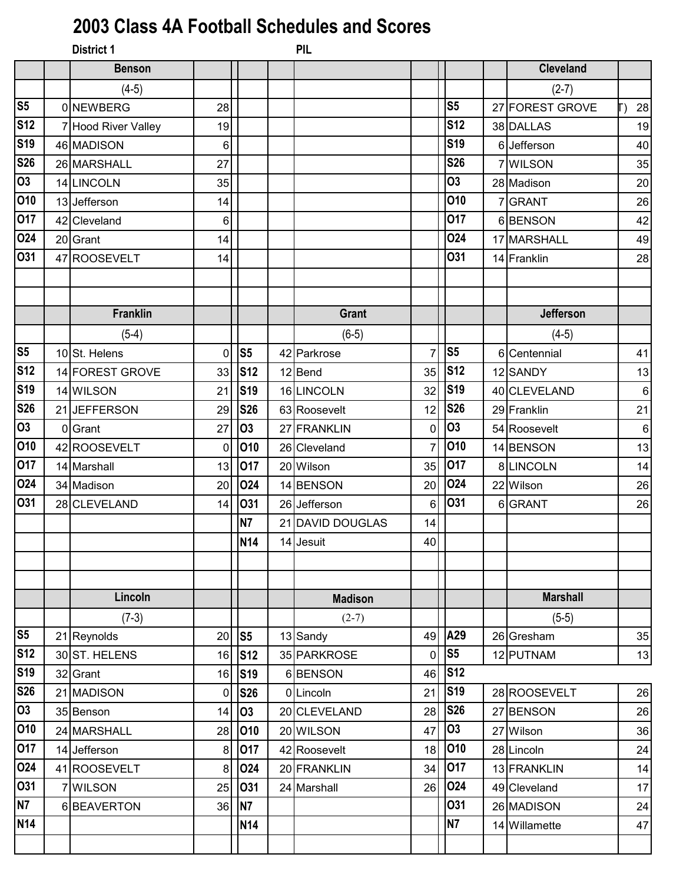## **2003 Class 4A Football Schedules and Scores**

| <b>District 1</b> |                                                                                                                                                                                                                                                                                  |                | PIL            |                                                                                                                                                                |                 |                  |                                                                                                                                                                                                                                                       |
|-------------------|----------------------------------------------------------------------------------------------------------------------------------------------------------------------------------------------------------------------------------------------------------------------------------|----------------|----------------|----------------------------------------------------------------------------------------------------------------------------------------------------------------|-----------------|------------------|-------------------------------------------------------------------------------------------------------------------------------------------------------------------------------------------------------------------------------------------------------|
| <b>Benson</b>     |                                                                                                                                                                                                                                                                                  |                |                |                                                                                                                                                                |                 | <b>Cleveland</b> |                                                                                                                                                                                                                                                       |
| $(4-5)$           |                                                                                                                                                                                                                                                                                  |                |                |                                                                                                                                                                |                 | $(2-7)$          |                                                                                                                                                                                                                                                       |
|                   | 28                                                                                                                                                                                                                                                                               |                |                |                                                                                                                                                                | S <sub>5</sub>  |                  | 28                                                                                                                                                                                                                                                    |
|                   | 19                                                                                                                                                                                                                                                                               |                |                |                                                                                                                                                                | S <sub>12</sub> |                  | 19                                                                                                                                                                                                                                                    |
|                   | 6                                                                                                                                                                                                                                                                                |                |                |                                                                                                                                                                | <b>S19</b>      |                  | 40                                                                                                                                                                                                                                                    |
|                   | 27                                                                                                                                                                                                                                                                               |                |                |                                                                                                                                                                | <b>S26</b>      |                  | 35                                                                                                                                                                                                                                                    |
|                   | 35                                                                                                                                                                                                                                                                               |                |                |                                                                                                                                                                | <b>O3</b>       |                  | 20                                                                                                                                                                                                                                                    |
|                   | 14                                                                                                                                                                                                                                                                               |                |                |                                                                                                                                                                | 010             |                  | 26                                                                                                                                                                                                                                                    |
|                   | 6                                                                                                                                                                                                                                                                                |                |                |                                                                                                                                                                | 017             |                  | 42                                                                                                                                                                                                                                                    |
|                   | 14                                                                                                                                                                                                                                                                               |                |                |                                                                                                                                                                | 024             |                  | 49                                                                                                                                                                                                                                                    |
|                   | 14                                                                                                                                                                                                                                                                               |                |                |                                                                                                                                                                | 031             |                  | 28                                                                                                                                                                                                                                                    |
|                   |                                                                                                                                                                                                                                                                                  |                |                |                                                                                                                                                                |                 |                  |                                                                                                                                                                                                                                                       |
|                   |                                                                                                                                                                                                                                                                                  |                |                |                                                                                                                                                                |                 |                  |                                                                                                                                                                                                                                                       |
| <b>Franklin</b>   |                                                                                                                                                                                                                                                                                  |                | <b>Grant</b>   |                                                                                                                                                                |                 | <b>Jefferson</b> |                                                                                                                                                                                                                                                       |
| $(5-4)$           |                                                                                                                                                                                                                                                                                  |                | $(6-5)$        |                                                                                                                                                                |                 | $(4-5)$          |                                                                                                                                                                                                                                                       |
|                   | $\mathbf 0$                                                                                                                                                                                                                                                                      | S <sub>5</sub> |                | $\overline{7}$                                                                                                                                                 | S <sub>5</sub>  |                  | 41                                                                                                                                                                                                                                                    |
|                   | 33                                                                                                                                                                                                                                                                               | <b>S12</b>     |                | 35                                                                                                                                                             | <b>S12</b>      |                  | 13                                                                                                                                                                                                                                                    |
|                   | 21                                                                                                                                                                                                                                                                               | <b>S19</b>     |                | 32                                                                                                                                                             | <b>S19</b>      |                  | $\,6\,$                                                                                                                                                                                                                                               |
|                   | 29                                                                                                                                                                                                                                                                               | <b>S26</b>     |                | 12                                                                                                                                                             | <b>S26</b>      |                  | 21                                                                                                                                                                                                                                                    |
|                   | 27                                                                                                                                                                                                                                                                               | 03             |                | 0                                                                                                                                                              | <b>O3</b>       |                  | 6                                                                                                                                                                                                                                                     |
|                   | 0                                                                                                                                                                                                                                                                                | 010            |                | $\overline{7}$                                                                                                                                                 | 010             |                  | 13                                                                                                                                                                                                                                                    |
|                   | 13                                                                                                                                                                                                                                                                               | 017            |                | 35                                                                                                                                                             | 017             |                  | 14                                                                                                                                                                                                                                                    |
|                   | 20                                                                                                                                                                                                                                                                               | 024            |                | 20                                                                                                                                                             | 024             |                  | 26                                                                                                                                                                                                                                                    |
|                   | 14                                                                                                                                                                                                                                                                               | 031            |                | 6                                                                                                                                                              | <b>031</b>      |                  | 26                                                                                                                                                                                                                                                    |
|                   |                                                                                                                                                                                                                                                                                  | N7             |                | 14                                                                                                                                                             |                 |                  |                                                                                                                                                                                                                                                       |
|                   |                                                                                                                                                                                                                                                                                  | <b>N14</b>     |                | 40                                                                                                                                                             |                 |                  |                                                                                                                                                                                                                                                       |
|                   |                                                                                                                                                                                                                                                                                  |                |                |                                                                                                                                                                |                 |                  |                                                                                                                                                                                                                                                       |
|                   |                                                                                                                                                                                                                                                                                  |                |                |                                                                                                                                                                |                 |                  |                                                                                                                                                                                                                                                       |
| Lincoln           |                                                                                                                                                                                                                                                                                  |                | <b>Madison</b> |                                                                                                                                                                |                 | <b>Marshall</b>  |                                                                                                                                                                                                                                                       |
|                   |                                                                                                                                                                                                                                                                                  |                |                |                                                                                                                                                                |                 |                  |                                                                                                                                                                                                                                                       |
| $(7-3)$           |                                                                                                                                                                                                                                                                                  |                | $(2-7)$        |                                                                                                                                                                |                 | $(5-5)$          |                                                                                                                                                                                                                                                       |
| 21 Reynolds       | 20                                                                                                                                                                                                                                                                               | S <sub>5</sub> | 13 Sandy       | 49                                                                                                                                                             | A29             | 26 Gresham       | 35                                                                                                                                                                                                                                                    |
| 30 ST. HELENS     | 16                                                                                                                                                                                                                                                                               | <b>S12</b>     | 35 PARKROSE    | 0                                                                                                                                                              | S <sub>5</sub>  | 12 PUTNAM        | 13                                                                                                                                                                                                                                                    |
| 32 Grant          | 16                                                                                                                                                                                                                                                                               | <b>S19</b>     | 6BENSON        | 46                                                                                                                                                             | <b>S12</b>      |                  |                                                                                                                                                                                                                                                       |
| 21 MADISON        | $\mathbf 0$                                                                                                                                                                                                                                                                      | <b>S26</b>     | 0 Lincoln      | 21                                                                                                                                                             | <b>S19</b>      | 28 ROOSEVELT     | 26                                                                                                                                                                                                                                                    |
| 35 Benson         | 14                                                                                                                                                                                                                                                                               | 03             | 20 CLEVELAND   | 28                                                                                                                                                             | <b>S26</b>      | 27 BENSON        | 26                                                                                                                                                                                                                                                    |
| 24 MARSHALL       | 28                                                                                                                                                                                                                                                                               | 010            | 20 WILSON      | 47                                                                                                                                                             | 03              | 27 Wilson        | 36                                                                                                                                                                                                                                                    |
| 14 Jefferson      | 8                                                                                                                                                                                                                                                                                | 017            | 42 Roosevelt   | 18                                                                                                                                                             | 010             | 28 Lincoln       | 24                                                                                                                                                                                                                                                    |
| 41 ROOSEVELT      | 8                                                                                                                                                                                                                                                                                | 024            | 20 FRANKLIN    | 34                                                                                                                                                             | 017             | 13 FRANKLIN      | 14                                                                                                                                                                                                                                                    |
| 7 WILSON          | 25                                                                                                                                                                                                                                                                               | 031            | 24 Marshall    | 26                                                                                                                                                             | 024             | 49 Cleveland     | 17                                                                                                                                                                                                                                                    |
| 6BEAVERTON        | 36                                                                                                                                                                                                                                                                               | <b>N7</b>      |                |                                                                                                                                                                | 031             | 26 MADISON       | 24                                                                                                                                                                                                                                                    |
|                   |                                                                                                                                                                                                                                                                                  | <b>N14</b>     |                |                                                                                                                                                                | <b>N7</b>       | 14 Willamette    | 47                                                                                                                                                                                                                                                    |
|                   | 0 NEWBERG<br>7 Hood River Valley<br>46 MADISON<br>26 MARSHALL<br>14 LINCOLN<br>13 Jefferson<br>42 Cleveland<br>20 Grant<br>47 ROOSEVELT<br>10 St. Helens<br>14 FOREST GROVE<br>14 WILSON<br>21 JEFFERSON<br>0 Grant<br>42 ROOSEVELT<br>14 Marshall<br>34 Madison<br>28 CLEVELAND |                |                | 42 Parkrose<br>12 Bend<br>16 LINCOLN<br>63 Roosevelt<br>27 FRANKLIN<br>26 Cleveland<br>20 Wilson<br>14 BENSON<br>26 Jefferson<br>21 DAVID DOUGLAS<br>14 Jesuit |                 |                  | 27 FOREST GROVE<br>38 DALLAS<br>6 Jefferson<br>7 WILSON<br>28 Madison<br>7 GRANT<br>6BENSON<br>17 MARSHALL<br>14 Franklin<br>6 Centennial<br>12 SANDY<br>40 CLEVELAND<br>29 Franklin<br>54 Roosevelt<br>14 BENSON<br>8LINCOLN<br>22 Wilson<br>6 GRANT |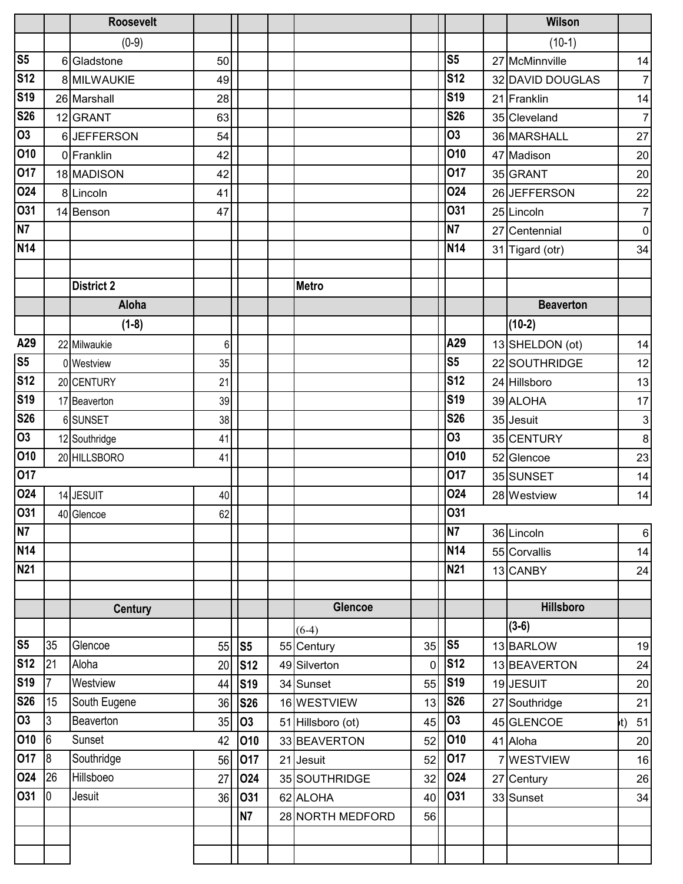|                 |                | <b>Roosevelt</b>  |    |                |                   |                |                | Wilson           |                |
|-----------------|----------------|-------------------|----|----------------|-------------------|----------------|----------------|------------------|----------------|
|                 |                | $(0-9)$           |    |                |                   |                |                | $(10-1)$         |                |
| S <sub>5</sub>  |                | 6 Gladstone       | 50 |                |                   |                | S <sub>5</sub> | 27 McMinnville   | 14             |
| <b>S12</b>      |                | 8 MILWAUKIE       | 49 |                |                   |                | <b>S12</b>     | 32 DAVID DOUGLAS | 7 <sup>1</sup> |
| S <sub>19</sub> |                | 26 Marshall       | 28 |                |                   |                | <b>S19</b>     | 21 Franklin      | 14             |
| <b>S26</b>      |                | 12 GRANT          | 63 |                |                   |                | <b>S26</b>     | 35 Cleveland     | $\overline{7}$ |
| 03              |                | 6JEFFERSON        | 54 |                |                   |                | 03             | 36 MARSHALL      | 27             |
| 010             |                | 0 Franklin        | 42 |                |                   |                | 010            | 47 Madison       | 20             |
| 017             |                | 18 MADISON        | 42 |                |                   |                | 017            | 35 GRANT         | 20             |
| 024             |                | 8 Lincoln         | 41 |                |                   |                | <b>024</b>     | 26 JEFFERSON     | 22             |
| 031             |                | 14 Benson         | 47 |                |                   |                | 031            | 25 Lincoln       | 7 <sup>1</sup> |
| N7              |                |                   |    |                |                   |                | N7             | 27 Centennial    | $\overline{0}$ |
| <b>N14</b>      |                |                   |    |                |                   |                | <b>N14</b>     | 31 Tigard (otr)  | 34             |
|                 |                |                   |    |                |                   |                |                |                  |                |
|                 |                | <b>District 2</b> |    |                | <b>Metro</b>      |                |                |                  |                |
|                 |                | Aloha             |    |                |                   |                |                | <b>Beaverton</b> |                |
|                 |                | $(1-8)$           |    |                |                   |                |                | $(10-2)$         |                |
| A29             |                | 22 Milwaukie      | 6  |                |                   |                | A29            | 13 SHELDON (ot)  | 14             |
| S <sub>5</sub>  |                | 0 Westview        | 35 |                |                   |                | S <sub>5</sub> | 22 SOUTHRIDGE    | 12             |
| <b>S12</b>      |                | 20 CENTURY        | 21 |                |                   |                | <b>S12</b>     | 24 Hillsboro     | 13             |
| <b>S19</b>      |                | 17 Beaverton      | 39 |                |                   |                | <b>S19</b>     | 39 ALOHA         | 17             |
| <b>S26</b>      |                | 6 SUNSET          | 38 |                |                   |                | <b>S26</b>     | 35 Jesuit        | $\mathbf{3}$   |
| $\overline{03}$ |                | 12 Southridge     | 41 |                |                   |                | <b>O3</b>      | 35 CENTURY       | 8 <sup>1</sup> |
| 010             |                | 20 HILLSBORO      | 41 |                |                   |                | 010            | 52 Glencoe       | 23             |
| 017             |                |                   |    |                |                   |                | 017            | 35 SUNSET        | 14             |
| 024             |                | 14 JESUIT         | 40 |                |                   |                | 024            | 28 Westview      | 14             |
| 031             |                | 40 Glencoe        | 62 |                |                   |                | 031            |                  |                |
| N7              |                |                   |    |                |                   |                | N <sub>7</sub> | 36 Lincoln       | $6 \mid$       |
| <b>N14</b>      |                |                   |    |                |                   |                | <b>N14</b>     | 55 Corvallis     | 14             |
| <b>N21</b>      |                |                   |    |                |                   |                | <b>N21</b>     | 13 CANBY         | 24             |
|                 |                |                   |    |                |                   |                |                |                  |                |
|                 |                | <b>Century</b>    |    |                | Glencoe           |                |                | <b>Hillsboro</b> |                |
|                 |                |                   |    |                | $(6-4)$           |                |                | $(3-6)$          |                |
| S <sub>5</sub>  | 35             | Glencoe           | 55 | S <sub>5</sub> | 55 Century        | 35             | S <sub>5</sub> | 13 BARLOW        | 19             |
| <b>S12</b>      | 21             | Aloha             | 20 | <b>S12</b>     | 49 Silverton      | $\overline{0}$ | <b>S12</b>     | 13 BEAVERTON     | 24             |
| S <sub>19</sub> | $\overline{7}$ | Westview          | 44 | <b>S19</b>     | 34 Sunset         | 55             | <b>S19</b>     | 19 JESUIT        | 20             |
| <b>S26</b>      | 15             | South Eugene      | 36 | <b>S26</b>     | 16 WESTVIEW       | 13             | <b>S26</b>     | 27 Southridge    | 21             |
| $\overline{03}$ | $\overline{3}$ | Beaverton         | 35 | <b>O3</b>      | 51 Hillsboro (ot) | 45             | 03             | 45 GLENCOE       | 51<br>ht)      |
| 010             | 6              | Sunset            | 42 | 010            | 33 BEAVERTON      | 52             | 010            | 41 Aloha         | 20             |
| 017             | 8              | Southridge        | 56 | 017            | 21 Jesuit         | 52             | 017            | 7 WESTVIEW       | 16             |
| 024             | 26             | Hillsboeo         | 27 | 024            | 35 SOUTHRIDGE     | 32             | 024            | 27 Century       | 26             |
| 031             | $\overline{0}$ | Jesuit            | 36 | 031            | 62 ALOHA          | 40             | O31            | 33 Sunset        | 34             |
|                 |                |                   |    | <b>N7</b>      | 28 NORTH MEDFORD  | 56             |                |                  |                |
|                 |                |                   |    |                |                   |                |                |                  |                |
|                 |                |                   |    |                |                   |                |                |                  |                |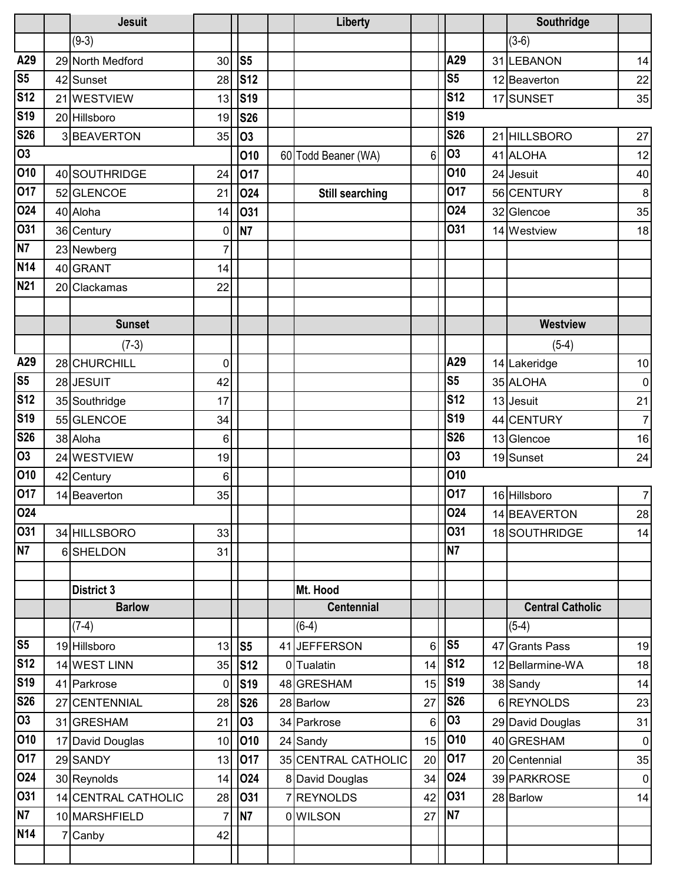|                  | <b>Jesuit</b>       |                |                | Liberty                |    |                | Southridge              |                |
|------------------|---------------------|----------------|----------------|------------------------|----|----------------|-------------------------|----------------|
|                  | $(9-3)$             |                |                |                        |    |                | $(3-6)$                 |                |
| A29              | 29 North Medford    | 30             | S <sub>5</sub> |                        |    | A29            | 31 LEBANON              | 14             |
| S <sub>5</sub>   | 42 Sunset           | 28             | <b>S12</b>     |                        |    | S <sub>5</sub> | 12 Beaverton            | 22             |
| <b>S12</b>       | 21 WESTVIEW         | 13             | <b>S19</b>     |                        |    | <b>S12</b>     | 17 SUNSET               | 35             |
| S <sub>19</sub>  | 20 Hillsboro        | 19             | <b>S26</b>     |                        |    | <b>S19</b>     |                         |                |
| <b>S26</b>       | 3BEAVERTON          | 35             | <b>O3</b>      |                        |    | <b>S26</b>     | 21 HILLSBORO            | 27             |
| $\overline{03}$  |                     |                | 010            | 60 Todd Beaner (WA)    | 6  | <b>O3</b>      | 41 ALOHA                | 12             |
| 010              | 40 SOUTHRIDGE       | 24             | 017            |                        |    | 010            | 24 Jesuit               | 40             |
| 017              | 52 GLENCOE          | 21             | 024            | <b>Still searching</b> |    | 017            | 56 CENTURY              | $\bf 8$        |
| 024              | 40 Aloha            | 14             | 031            |                        |    | <b>O24</b>     | 32 Glencoe              | 35             |
| 031              | 36 Century          | $\mathbf 0$    | <b>N7</b>      |                        |    | <b>031</b>     | 14 Westview             | 18             |
| N7               | 23 Newberg          | 7              |                |                        |    |                |                         |                |
| $\overline{N14}$ | 40 GRANT            | 14             |                |                        |    |                |                         |                |
| N <sub>21</sub>  | 20 Clackamas        | 22             |                |                        |    |                |                         |                |
|                  |                     |                |                |                        |    |                |                         |                |
|                  | <b>Sunset</b>       |                |                |                        |    |                | <b>Westview</b>         |                |
|                  | $(7-3)$             |                |                |                        |    |                | $(5-4)$                 |                |
| A29              | 28 CHURCHILL        | $\mathbf 0$    |                |                        |    | A29            | 14 Lakeridge            | $10$           |
| S <sub>5</sub>   | 28 JESUIT           | 42             |                |                        |    | S <sub>5</sub> | 35 ALOHA                | $\mathbf 0$    |
| <b>S12</b>       | 35 Southridge       | 17             |                |                        |    | <b>S12</b>     | 13 Jesuit               | 21             |
| <b>S19</b>       | 55 GLENCOE          | 34             |                |                        |    | <b>S19</b>     | 44 CENTURY              | $\overline{7}$ |
| <b>S26</b>       | 38 Aloha            | 6              |                |                        |    | <b>S26</b>     | 13 Glencoe              | 16             |
| $\overline{03}$  | 24 WESTVIEW         | 19             |                |                        |    | <b>O3</b>      | 19 Sunset               | 24             |
| 010              | 42 Century          | 6              |                |                        |    | 010            |                         |                |
| 017              | 14 Beaverton        | 35             |                |                        |    | 017            | 16 Hillsboro            | $\overline{7}$ |
| 024              |                     |                |                |                        |    | 024            | 14 BEAVERTON            | 28             |
| 031              | 34 HILLSBORO        | 33             |                |                        |    | <b>031</b>     | 18 SOUTHRIDGE           | 14             |
| <b>N7</b>        | 6SHELDON            | 31             |                |                        |    | <b>N7</b>      |                         |                |
|                  |                     |                |                |                        |    |                |                         |                |
|                  | <b>District 3</b>   |                |                | Mt. Hood               |    |                |                         |                |
|                  | <b>Barlow</b>       |                |                | <b>Centennial</b>      |    |                | <b>Central Catholic</b> |                |
|                  | $(7-4)$             |                |                | $(6-4)$                |    |                | $(5-4)$                 |                |
| S <sub>5</sub>   | 19 Hillsboro        | 13             | S <sub>5</sub> | 41 JEFFERSON           | 6  | S <sub>5</sub> | 47 Grants Pass          | 19             |
| <b>S12</b>       | 14 WEST LINN        | 35             | <b>S12</b>     | 0 Tualatin             | 14 | <b>S12</b>     | 12 Bellarmine-WA        | 18             |
| <b>S19</b>       | 41 Parkrose         | 0              | <b>S19</b>     | 48 GRESHAM             | 15 | <b>S19</b>     | 38 Sandy                | 14             |
| <b>S26</b>       | 27 CENTENNIAL       | 28             | <b>S26</b>     | 28 Barlow              | 27 | <b>S26</b>     | 6REYNOLDS               | 23             |
| $\overline{03}$  | 31 GRESHAM          | 21             | <b>O3</b>      | 34 Parkrose            | 6  | <b>O3</b>      | 29 David Douglas        | 31             |
| 010              | 17 David Douglas    | 10             | 010            | 24 Sandy               | 15 | 010            | 40 GRESHAM              | $\overline{0}$ |
| 017              | 29 SANDY            | 13             | 017            | 35 CENTRAL CATHOLIC    | 20 | 017            | 20 Centennial           | 35             |
| 024              | 30 Reynolds         | 14             | 024            | 8 David Douglas        | 34 | 024            | 39 PARKROSE             | $\overline{0}$ |
| 031              | 14 CENTRAL CATHOLIC | 28             | 031            | <b>REYNOLDS</b>        | 42 | 031            | 28 Barlow               | 14             |
| N7               | 10 MARSHFIELD       | $\overline{7}$ | N7             | 0 WILSON               | 27 | N <sub>7</sub> |                         |                |
| <b>N14</b>       | 7 Canby             | 42             |                |                        |    |                |                         |                |
|                  |                     |                |                |                        |    |                |                         |                |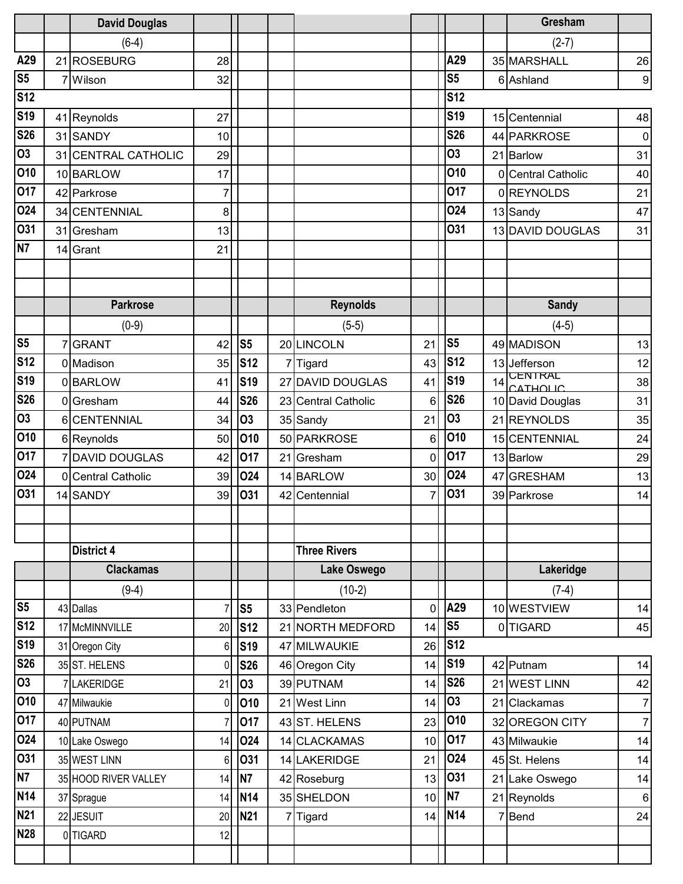|                | <b>David Douglas</b> |          |                |    |                     |                 |                |    | <b>Gresham</b>             |                |
|----------------|----------------------|----------|----------------|----|---------------------|-----------------|----------------|----|----------------------------|----------------|
|                | $(6-4)$              |          |                |    |                     |                 |                |    | $(2-7)$                    |                |
| A29            | 21 ROSEBURG          | 28       |                |    |                     |                 | A29            |    | 35 MARSHALL                | 26             |
| S <sub>5</sub> | 7 Wilson             | 32       |                |    |                     |                 | S <sub>5</sub> |    | 6 Ashland                  | 9              |
| <b>S12</b>     |                      |          |                |    |                     |                 | <b>S12</b>     |    |                            |                |
| <b>S19</b>     | 41 Reynolds          | 27       |                |    |                     |                 | <b>S19</b>     |    | 15 Centennial              | 48             |
| <b>S26</b>     | 31 SANDY             | 10       |                |    |                     |                 | <b>S26</b>     |    | 44 PARKROSE                | $\overline{0}$ |
| 03             | 31 CENTRAL CATHOLIC  | 29       |                |    |                     |                 | <b>O3</b>      |    | 21 Barlow                  | 31             |
| 010            | 10 BARLOW            | 17       |                |    |                     |                 | 010            |    | 0 Central Catholic         | 40             |
| 017            | 42 Parkrose          | 7        |                |    |                     |                 | 017            |    | 0REYNOLDS                  | 21             |
| 024            | 34 CENTENNIAL        | 8        |                |    |                     |                 | <b>024</b>     |    | 13 Sandy                   | 47             |
| 031            | 31 Gresham           | 13       |                |    |                     |                 | <b>O31</b>     |    | 13 DAVID DOUGLAS           | 31             |
| N7             | 14 Grant             | 21       |                |    |                     |                 |                |    |                            |                |
|                |                      |          |                |    |                     |                 |                |    |                            |                |
|                |                      |          |                |    |                     |                 |                |    |                            |                |
|                | <b>Parkrose</b>      |          |                |    | <b>Reynolds</b>     |                 |                |    | <b>Sandy</b>               |                |
|                | $(0-9)$              |          |                |    | $(5-5)$             |                 |                |    | $(4-5)$                    |                |
| S <sub>5</sub> | <b>GRANT</b>         | 42       | S <sub>5</sub> |    | 20 LINCOLN          | 21              | S <sub>5</sub> |    | 49 MADISON                 | 13             |
| <b>S12</b>     | 0 Madison            | 35       | <b>S12</b>     |    | 7 Tigard            | 43              | <b>S12</b>     |    | 13 Jefferson               | 12             |
| <b>S19</b>     | 0BARLOW              | 41       | <b>S19</b>     |    | 27 DAVID DOUGLAS    | 41              | <b>S19</b>     | 14 | <b>CENTRAL</b><br>CATHOLIC | 38             |
| <b>S26</b>     | 0 Gresham            | 44       | <b>S26</b>     |    | 23 Central Catholic | 6               | <b>S26</b>     |    | 10 David Douglas           | 31             |
| O <sub>3</sub> | 6 CENTENNIAL         | 34       | 03             |    | 35 Sandy            | 21              | <b>O3</b>      |    | 21 REYNOLDS                | 35             |
| 010            | 6 Reynolds           | 50       | 010            |    | 50 PARKROSE         | 6               | 010            |    | 15 CENTENNIAL              | 24             |
| 017            | 7 DAVID DOUGLAS      | 42       | 017            |    | 21 Gresham          | 0               | 017            |    | 13 Barlow                  | 29             |
| 024            | 0 Central Catholic   | 39       | 024            |    | 14 BARLOW           | 30 <sup>1</sup> | 024            |    | 47 GRESHAM                 | 13             |
| 031            | 14 SANDY             | 39       | 031            | 42 | Centennial          | 7               | 031            |    | 39 Parkrose                | 14             |
|                |                      |          |                |    |                     |                 |                |    |                            |                |
|                |                      |          |                |    |                     |                 |                |    |                            |                |
|                | <b>District 4</b>    |          |                |    | <b>Three Rivers</b> |                 |                |    |                            |                |
|                | <b>Clackamas</b>     |          |                |    | Lake Oswego         |                 |                |    | Lakeridge                  |                |
|                | $(9-4)$              |          |                |    | $(10-2)$            |                 |                |    | $(7-4)$                    |                |
| S <sub>5</sub> | 43 Dallas            |          | S <sub>5</sub> |    | 33 Pendleton        | $\mathbf 0$     | A29            |    | 10 WESTVIEW                | 14             |
| <b>S12</b>     | 17 McMINNVILLE       | 20       | <b>S12</b>     |    | 21 NORTH MEDFORD    | 14              | S <sub>5</sub> |    | 0 TIGARD                   | 45             |
| <b>S19</b>     | 31 Oregon City       | 6        | <b>S19</b>     |    | 47 MILWAUKIE        | 26              | <b>S12</b>     |    |                            |                |
| <b>S26</b>     | 35 ST. HELENS        | $\Omega$ | <b>S26</b>     |    | 46 Oregon City      | 14              | <b>S19</b>     |    | 42 Putnam                  | 14             |
| 03             | 7 LAKERIDGE          | 21       | 03             |    | 39 PUTNAM           | 14              | <b>S26</b>     |    | 21 WEST LINN               | 42             |
| 010            | 47 Milwaukie         | 0        | 010            |    | 21 West Linn        | 14              | 03             | 21 | Clackamas                  | $\overline{7}$ |
| 017            | 40 PUTNAM            |          | 017            |    | 43 ST. HELENS       | 23              | 010            |    | 32 OREGON CITY             | $\overline{7}$ |
| 024            | 10 Lake Oswego       | 14       | 024            |    | 14 CLACKAMAS        | 10              | 017            |    | 43 Milwaukie               | 14             |
| 031            | 35 WEST LINN         | 6        | 031            |    | 14 LAKERIDGE        | 21              | 024            |    | 45 St. Helens              | 14             |
| N7             | 35 HOOD RIVER VALLEY | 14       | <b>N7</b>      |    | 42 Roseburg         | 13              | 031            |    | 21 Lake Oswego             | 14             |
| <b>N14</b>     | 37 Sprague           | 14       | <b>N14</b>     |    | 35 SHELDON          | 10              | N7             |    | 21 Reynolds                | 6              |
| <b>N21</b>     | 22 JESUIT            | 20       | <b>N21</b>     |    | Tigard              | 14              | <b>N14</b>     |    | 7Bend                      | 24             |
| <b>N28</b>     | 0 TIGARD             | 12       |                |    |                     |                 |                |    |                            |                |
|                |                      |          |                |    |                     |                 |                |    |                            |                |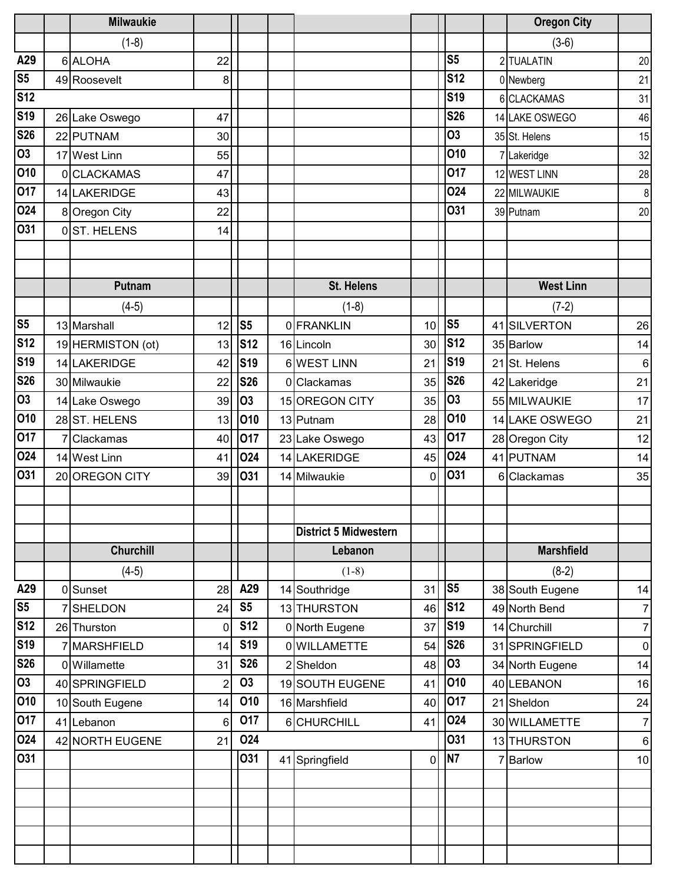|                               | <b>Milwaukie</b>  |                |                         |                              |                |                | <b>Oregon City</b> |                  |
|-------------------------------|-------------------|----------------|-------------------------|------------------------------|----------------|----------------|--------------------|------------------|
|                               | $(1-8)$           |                |                         |                              |                |                | $(3-6)$            |                  |
| A29                           | 6 ALOHA           | 22             |                         |                              |                | S <sub>5</sub> | 2 TUALATIN         | 20               |
| $\overline{\text{S5}}$        | 49 Roosevelt      | 8              |                         |                              |                | <b>S12</b>     | 0 Newberg          | 21               |
| <b>S12</b>                    |                   |                |                         |                              |                | <b>S19</b>     | 6 CLACKAMAS        | 31               |
| S <sub>19</sub>               | 26 Lake Oswego    | 47             |                         |                              |                | <b>S26</b>     | 14 LAKE OSWEGO     | 46               |
| <b>S26</b>                    | 22 PUTNAM         | 30             |                         |                              |                | <b>O3</b>      | 35 St. Helens      | 15               |
| $\overline{03}$               | 17 West Linn      | 55             |                         |                              |                | 010            | 7 Lakeridge        | 32               |
| 010                           | 0 CLACKAMAS       | 47             |                         |                              |                | 017            | 12 WEST LINN       | 28               |
| 017                           | 14 LAKERIDGE      | 43             |                         |                              |                | 024            | 22 MILWAUKIE       | $\boldsymbol{8}$ |
| 024                           | 8 Oregon City     | 22             |                         |                              |                | 031            | 39 Putnam          | 20               |
| 031                           | 0ST. HELENS       | 14             |                         |                              |                |                |                    |                  |
|                               |                   |                |                         |                              |                |                |                    |                  |
|                               |                   |                |                         |                              |                |                |                    |                  |
|                               | Putnam            |                |                         | <b>St. Helens</b>            |                |                | <b>West Linn</b>   |                  |
|                               | $(4-5)$           |                |                         | $(1-8)$                      |                |                | $(7-2)$            |                  |
| $\overline{\text{S5}}$        | 13 Marshall       | 12             | S <sub>5</sub>          | 0 FRANKLIN                   | 10             | S <sub>5</sub> | 41 SILVERTON       | 26               |
| S <sub>12</sub>               | 19 HERMISTON (ot) | 13             | <b>S12</b>              | 16 Lincoln                   | 30             | <b>S12</b>     | 35 Barlow          | 14               |
| <b>S19</b>                    | 14 LAKERIDGE      | 42             | <b>S19</b>              | 6WEST LINN                   | 21             | <b>S19</b>     | 21 St. Helens      | $\,6\,$          |
| <b>S26</b>                    | 30 Milwaukie      | 22             | <b>S26</b>              | 0 Clackamas                  | 35             | <b>S26</b>     | 42 Lakeridge       | 21               |
| 03                            | 14 Lake Oswego    | 39             | <b>O3</b>               | 15 OREGON CITY               | 35             | <b>O3</b>      | 55 MILWAUKIE       | 17               |
| 010                           | 28 ST. HELENS     | 13             | 010                     | 13 Putnam                    | 28             | 010            | 14 LAKE OSWEGO     | 21               |
| 017                           | 7 Clackamas       | 40             | 017                     | 23 Lake Oswego               | 43             | 017            | 28 Oregon City     | 12               |
| 024                           | 14 West Linn      | 41             | 024                     | 14 LAKERIDGE                 | 45             | 024            | 41 PUTNAM          | 14               |
| 031                           | 20 OREGON CITY    | 39             | 031                     | 14 Milwaukie                 | 0              | 031            | 6 Clackamas        | 35               |
|                               |                   |                |                         |                              |                |                |                    |                  |
|                               |                   |                |                         |                              |                |                |                    |                  |
|                               |                   |                |                         | <b>District 5 Midwestern</b> |                |                |                    |                  |
|                               | <b>Churchill</b>  |                |                         | Lebanon                      |                |                | <b>Marshfield</b>  |                  |
|                               | $(4-5)$           |                |                         | $(1-8)$                      |                |                | $(8-2)$            |                  |
| A29                           | 0 Sunset          | 28             | A29                     | 14 Southridge                | 31             | S <sub>5</sub> | 38 South Eugene    | 14               |
| S <sub>5</sub>                | 7 SHELDON         | 24             | S <sub>5</sub>          | 13 THURSTON                  | 46             | <b>S12</b>     | 49 North Bend      | $\overline{7}$   |
| <b>S12</b>                    | 26 Thurston       | $\mathbf 0$    | <b>S12</b>              | 0 North Eugene               | 37             | <b>S19</b>     | 14 Churchill       | $\overline{7}$   |
| S <sub>19</sub>               | 7 MARSHFIELD      | 14             | <b>S19</b>              | 0 WILLAMETTE                 | 54             | <b>S26</b>     | 31 SPRINGFIELD     | $\pmb{0}$        |
| <b>S26</b><br>$\overline{03}$ | 0 Willamette      | 31             | <b>S26</b><br><b>O3</b> | 2 Sheldon                    | 48             | 03             | 34 North Eugene    | 14               |
| 010                           | 40 SPRINGFIELD    | $\overline{2}$ |                         | 19 SOUTH EUGENE              | 41             | 010<br>017     | 40 LEBANON         | 16               |
|                               | 10 South Eugene   | 14             | 010                     | 16 Marshfield                | 40             |                | 21 Sheldon         | 24               |
| 017<br>024                    | 41 Lebanon        | 6              | 017<br>024              | 6CHURCHILL                   | 41             | 024<br>031     | 30 WILLAMETTE      | $\overline{7}$   |
| 031                           | 42 NORTH EUGENE   | 21             | 031                     |                              |                | <b>N7</b>      | 13 THURSTON        | $\,6$            |
|                               |                   |                |                         | 41 Springfield               | $\overline{0}$ |                | 7 Barlow           | 10               |
|                               |                   |                |                         |                              |                |                |                    |                  |
|                               |                   |                |                         |                              |                |                |                    |                  |
|                               |                   |                |                         |                              |                |                |                    |                  |
|                               |                   |                |                         |                              |                |                |                    |                  |
|                               |                   |                |                         |                              |                |                |                    |                  |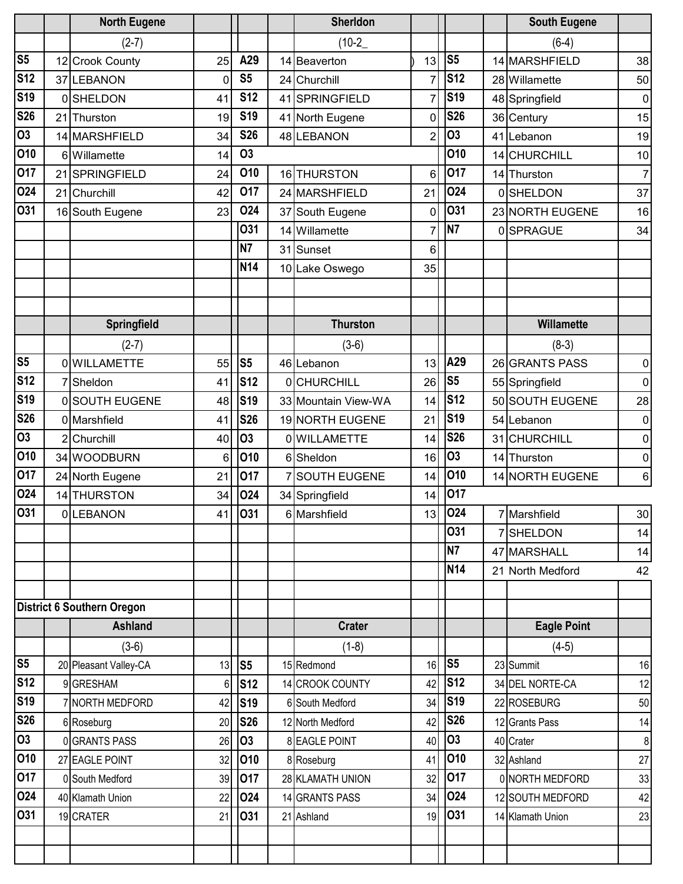|                 | <b>North Eugene</b>               |             |                | <b>Sherldon</b>     |                |                | <b>South Eugene</b> |                  |
|-----------------|-----------------------------------|-------------|----------------|---------------------|----------------|----------------|---------------------|------------------|
|                 | $(2-7)$                           |             |                | $(10-2)$            |                |                | $(6-4)$             |                  |
| S <sub>5</sub>  | 12 Crook County                   | 25          | A29            | 14 Beaverton        | 13             | S <sub>5</sub> | 14 MARSHFIELD       | 38               |
| <b>S12</b>      | 37 LEBANON                        | $\mathbf 0$ | S <sub>5</sub> | 24 Churchill        | $\overline{7}$ | <b>S12</b>     | 28 Willamette       | 50               |
| <b>S19</b>      | 0SHELDON                          | 41          | <b>S12</b>     | 41 SPRINGFIELD      | $\overline{7}$ | <b>S19</b>     | 48 Springfield      | 0                |
| <b>S26</b>      | 21 Thurston                       | 19          | <b>S19</b>     | 41 North Eugene     | 0              | <b>S26</b>     | 36 Century          | 15               |
| $\overline{S}$  | 14 MARSHFIELD                     | 34          | <b>S26</b>     | 48 LEBANON          | $\overline{2}$ | <b>O3</b>      | 41 Lebanon          | 19               |
| 010             | 6 Willamette                      | 14          | <b>O3</b>      |                     |                | 010            | 14 CHURCHILL        | 10               |
| 017             | 21 SPRINGFIELD                    | 24          | 010            | 16 THURSTON         | 6              | 017            | 14 Thurston         | $\overline{7}$   |
| 024             | 21 Churchill                      | 42          | 017            | 24 MARSHFIELD       | 21             | 024            | 0SHELDON            | 37               |
| 031             | 16 South Eugene                   | 23          | 024            | 37 South Eugene     | 0              | <b>O31</b>     | 23 NORTH EUGENE     | 16               |
|                 |                                   |             | <b>031</b>     | 14 Willamette       | 7              | N <sub>7</sub> | 0SPRAGUE            | 34               |
|                 |                                   |             | N <sub>7</sub> | 31 Sunset           | 6              |                |                     |                  |
|                 |                                   |             | <b>N14</b>     | 10 Lake Oswego      | 35             |                |                     |                  |
|                 |                                   |             |                |                     |                |                |                     |                  |
|                 |                                   |             |                |                     |                |                |                     |                  |
|                 | Springfield                       |             |                | <b>Thurston</b>     |                |                | Willamette          |                  |
|                 | $(2-7)$                           |             |                | $(3-6)$             |                |                | $(8-3)$             |                  |
| S <sub>5</sub>  | 0 WILLAMETTE                      | 55          | S <sub>5</sub> | 46 Lebanon          | 13             | A29            | 26 GRANTS PASS      | $\pmb{0}$        |
| S <sub>12</sub> | 7 Sheldon                         | 41          | <b>S12</b>     | <b>OCHURCHILL</b>   | 26             | S <sub>5</sub> | 55 Springfield      | $\mathbf 0$      |
| S <sub>19</sub> | 0 SOUTH EUGENE                    | 48          | <b>S19</b>     | 33 Mountain View-WA | 14             | <b>S12</b>     | 50 SOUTH EUGENE     | 28               |
| <b>S26</b>      | 0 Marshfield                      | 41          | <b>S26</b>     | 19 NORTH EUGENE     | 21             | <b>S19</b>     | 54 Lebanon          | 0                |
| $\overline{S}$  | 2 Churchill                       | 40          | <b>O3</b>      | 0 WILLAMETTE        | 14             | <b>S26</b>     | 31 CHURCHILL        | 0                |
| 010             | 34 WOODBURN                       | 6           | 010            | 6 Sheldon           | 16             | <b>O3</b>      | 14 Thurston         | 0                |
| 017             | 24 North Eugene                   | 21          | 017            | <b>SOUTH EUGENE</b> | 14             | 010            | 14 NORTH EUGENE     | $\,6$            |
| 024             | 14 THURSTON                       | 34          | <b>O24</b>     | 34 Springfield      | 14             | 017            |                     |                  |
| 031             | 0LEBANON                          | 41          | 031            | 6 Marshfield        | 13             | 024            | 7 Marshfield        | 30               |
|                 |                                   |             |                |                     |                | <b>O31</b>     | 7 SHELDON           | 14               |
|                 |                                   |             |                |                     |                | <b>N7</b>      | 47 MARSHALL         | 14               |
|                 |                                   |             |                |                     |                | <b>N14</b>     | 21 North Medford    | 42               |
|                 |                                   |             |                |                     |                |                |                     |                  |
|                 | <b>District 6 Southern Oregon</b> |             |                |                     |                |                |                     |                  |
|                 | <b>Ashland</b>                    |             |                | <b>Crater</b>       |                |                | <b>Eagle Point</b>  |                  |
| S <sub>5</sub>  | $(3-6)$                           |             |                | $(1-8)$             |                | S <sub>5</sub> | $(4-5)$             |                  |
| S <sub>12</sub> | 20 Pleasant Valley-CA             | 13          | S <sub>5</sub> | 15 Redmond          | 16             | <b>S12</b>     | 23 Summit           | 16               |
| S <sub>19</sub> | 9 GRESHAM                         | 6           | <b>S12</b>     | 14 CROOK COUNTY     | 42             | <b>S19</b>     | 34 DEL NORTE-CA     | 12               |
| <b>S26</b>      | 7 NORTH MEDFORD                   | 42          | <b>S19</b>     | 6 South Medford     | 34             | <b>S26</b>     | 22 ROSEBURG         | 50               |
| 03              | 6 Roseburg                        | 20          | <b>S26</b>     | 12 North Medford    | 42             | 03             | 12 Grants Pass      | 14               |
| 010             | 0 GRANTS PASS                     | 26          | <b>O3</b>      | 8 EAGLE POINT       | 40             | 010            | 40 Crater           | $\boldsymbol{8}$ |
| 017             | 27 EAGLE POINT                    | 32          | 010            | 8 Roseburg          | 41             | 017            | 32 Ashland          | 27               |
| 024             | 0 South Medford                   | 39          | 017            | 28 KLAMATH UNION    | 32             | 024            | 0 NORTH MEDFORD     | 33               |
| 031             | 40 Klamath Union                  | 22          | 024            | 14 GRANTS PASS      | 34             | 031            | 12 SOUTH MEDFORD    | 42               |
|                 | 19 CRATER                         | 21          | 031            | 21 Ashland          | 19             |                | 14 Klamath Union    | 23               |
|                 |                                   |             |                |                     |                |                |                     |                  |
|                 |                                   |             |                |                     |                |                |                     |                  |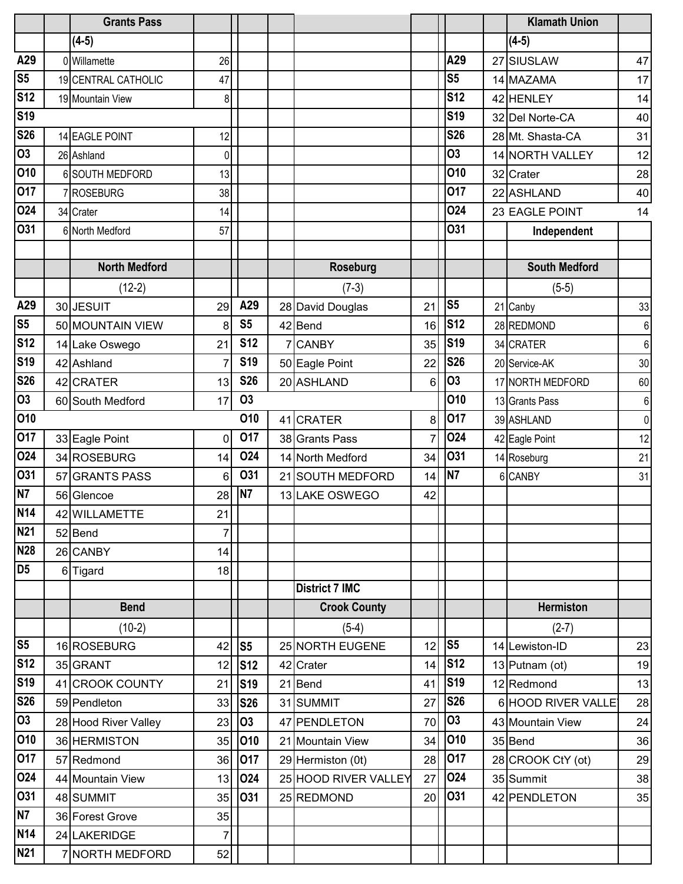|                 | <b>Grants Pass</b>   |                |                |                       |                |                | <b>Klamath Union</b> |                |
|-----------------|----------------------|----------------|----------------|-----------------------|----------------|----------------|----------------------|----------------|
|                 | $(4-5)$              |                |                |                       |                |                | $(4-5)$              |                |
| A29             | 0 Willamette         | 26             |                |                       |                | A29            | 27 SIUSLAW           | 47             |
| S <sub>5</sub>  | 19 CENTRAL CATHOLIC  | 47             |                |                       |                | S <sub>5</sub> | 14 MAZAMA            | 17             |
| <b>S12</b>      | 19 Mountain View     | 8              |                |                       |                | <b>S12</b>     | 42 HENLEY            | 14             |
| <b>S19</b>      |                      |                |                |                       |                | <b>S19</b>     | 32 Del Norte-CA      | 40             |
| <b>S26</b>      | 14 EAGLE POINT       | 12             |                |                       |                | <b>S26</b>     | 28 Mt. Shasta-CA     | 31             |
| $\overline{03}$ | 26 Ashland           | $\mathbf 0$    |                |                       |                | <b>O3</b>      | 14 NORTH VALLEY      | 12             |
| 010             | 6 SOUTH MEDFORD      | 13             |                |                       |                | 010            | 32 Crater            | 28             |
| 017             | 7 ROSEBURG           | 38             |                |                       |                | 017            | 22 ASHLAND           | 40             |
| 024             | 34 Crater            | 14             |                |                       |                | 024            | 23 EAGLE POINT       | 14             |
| 031             | 6 North Medford      | 57             |                |                       |                | <b>O31</b>     | Independent          |                |
|                 |                      |                |                |                       |                |                |                      |                |
|                 | <b>North Medford</b> |                |                | <b>Roseburg</b>       |                |                | <b>South Medford</b> |                |
|                 | $(12-2)$             |                |                | $(7-3)$               |                |                | $(5-5)$              |                |
| A29             | 30 JESUIT            | 29             | A29            | 28 David Douglas      | 21             | S <sub>5</sub> | 21 Canby             | 33             |
| S <sub>5</sub>  | 50 MOUNTAIN VIEW     | 8              | S <sub>5</sub> | 42 Bend               | 16             | <b>S12</b>     | 28 REDMOND           | 6              |
| <b>S12</b>      | 14 Lake Oswego       | 21             | <b>S12</b>     | 7 CANBY               | 35             | <b>S19</b>     | 34 CRATER            | 6              |
| <b>S19</b>      | 42 Ashland           | $\overline{7}$ | <b>S19</b>     | 50 Eagle Point        | 22             | <b>S26</b>     | 20 Service-AK        | 30             |
| <b>S26</b>      | 42 CRATER            | 13             | <b>S26</b>     | 20 ASHLAND            | 6              | 03             | 17 NORTH MEDFORD     | 60             |
| <b>O3</b>       | 60 South Medford     | 17             | <b>O3</b>      |                       |                | 010            | 13 Grants Pass       | 6              |
| 010             |                      |                | 010            | 41 CRATER             | 8 <sup>1</sup> | 017            | 39 ASHLAND           | $\overline{0}$ |
| 017             | 33 Eagle Point       | 0              | 017            | 38 Grants Pass        | $\overline{7}$ | 024            | 42 Eagle Point       | 12             |
| 024             | 34 ROSEBURG          | 14             | 024            | 14 North Medford      | 34             | O31            | 14 Roseburg          | 21             |
| 031             | 57 GRANTS PASS       | 6              | <b>031</b>     | 21 SOUTH MEDFORD      | 14             | N7             | 6 CANBY              | 31             |
| N7              | 56 Glencoe           | 28             | N7             | 13 LAKE OSWEGO        | 42             |                |                      |                |
| <b>N14</b>      | 42 WILLAMETTE        | 21             |                |                       |                |                |                      |                |
| <b>N21</b>      | 52 Bend              | 7              |                |                       |                |                |                      |                |
| <b>N28</b>      | 26 CANBY             | 14             |                |                       |                |                |                      |                |
| D <sub>5</sub>  | 6 Tigard             | 18             |                |                       |                |                |                      |                |
|                 |                      |                |                | <b>District 7 IMC</b> |                |                |                      |                |
|                 | <b>Bend</b>          |                |                | <b>Crook County</b>   |                |                | <b>Hermiston</b>     |                |
|                 | $(10-2)$             |                |                | $(5-4)$               |                |                | $(2-7)$              |                |
| S <sub>5</sub>  | 16 ROSEBURG          | 42             | S <sub>5</sub> | 25 NORTH EUGENE       | 12             | S <sub>5</sub> | 14 Lewiston-ID       | 23             |
| <b>S12</b>      | 35 GRANT             | 12             | <b>S12</b>     | 42 Crater             | 14             | <b>S12</b>     | 13 Putnam (ot)       | 19             |
| <b>S19</b>      | 41 CROOK COUNTY      | 21             | <b>S19</b>     | 21 Bend               | 41             | <b>S19</b>     | 12 Redmond           | 13             |
| <b>S26</b>      | 59 Pendleton         | 33             | <b>S26</b>     | 31 SUMMIT             | 27             | <b>S26</b>     | 6 HOOD RIVER VALLE   | 28             |
| <b>O3</b>       | 28 Hood River Valley | 23             | <b>O3</b>      | 47 PENDLETON          | 70             | <b>O3</b>      | 43 Mountain View     | 24             |
| 010             | 36 HERMISTON         | 35             | 010            | 21 Mountain View      | 34             | 010            | 35 Bend              | 36             |
| 017             | 57 Redmond           | 36             | 017            | 29 Hermiston (0t)     | 28             | 017            | 28 CROOK CtY (ot)    | 29             |
| 024             | 44 Mountain View     | 13             | 024            | 25 HOOD RIVER VALLEY  | 27             | 024            | 35 Summit            | 38             |
| 031             | 48 SUMMIT            | 35             | 031            | 25 REDMOND            | 20             | 031            | 42 PENDLETON         | 35             |
| <b>N7</b>       | 36 Forest Grove      | 35             |                |                       |                |                |                      |                |
| <b>N14</b>      | 24 LAKERIDGE         | 7              |                |                       |                |                |                      |                |
| <b>N21</b>      | 7 NORTH MEDFORD      | 52             |                |                       |                |                |                      |                |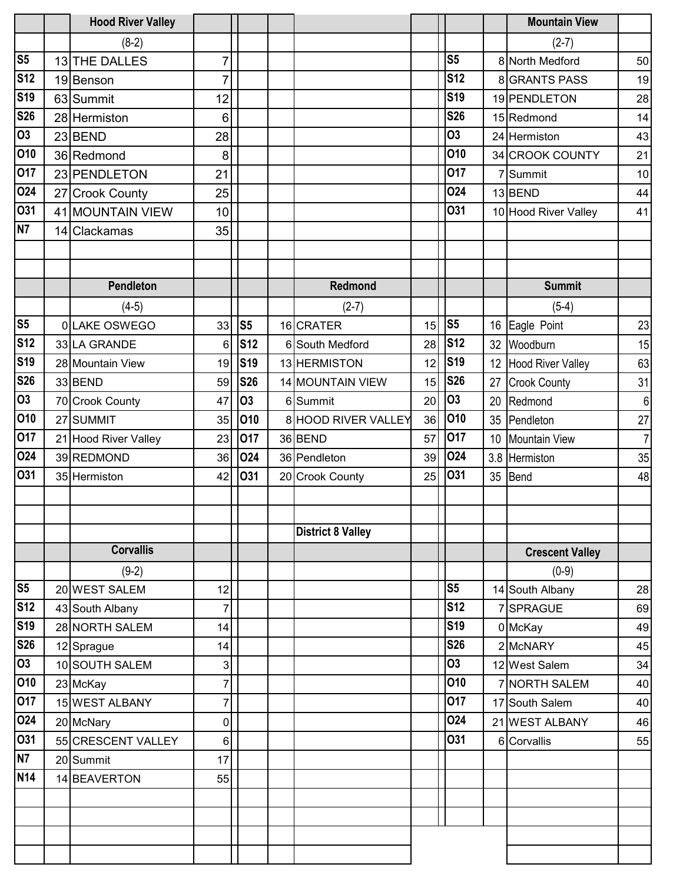|                        | <b>Hood River Valley</b>     |          |                |                          |    |                |     | <b>Mountain View</b>     |                |
|------------------------|------------------------------|----------|----------------|--------------------------|----|----------------|-----|--------------------------|----------------|
|                        | $(8-2)$                      |          |                |                          |    |                |     | $(2-7)$                  |                |
| S <sub>5</sub>         | 13 THE DALLES                | 7        |                |                          |    | S <sub>5</sub> |     | 8 North Medford          | 50             |
| <b>S12</b>             | 19 Benson                    | 7        |                |                          |    | <b>S12</b>     |     | <b>8 GRANTS PASS</b>     | 19             |
| <b>S19</b>             | 63 Summit                    | 12       |                |                          |    | <b>S19</b>     |     | 19 PENDLETON             | 28             |
| <b>S26</b>             | 28 Hermiston                 | 6        |                |                          |    | <b>S26</b>     |     | 15 Redmond               | 14             |
| $\overline{03}$        | 23 BEND                      | 28       |                |                          |    | 03             |     | 24 Hermiston             | 43             |
| 010                    | 36 Redmond                   | 8        |                |                          |    | 010            |     | 34 CROOK COUNTY          | 21             |
| 017                    | 23 PENDLETON                 | 21       |                |                          |    | 017            |     | 7 Summit                 | 10             |
| 024                    | 27 Crook County              | 25       |                |                          |    | 024            |     | 13 BEND                  | 44             |
| 031                    | 41 MOUNTAIN VIEW             | 10       |                |                          |    | <b>O31</b>     |     | 10 Hood River Valley     | 41             |
| N7                     | 14 Clackamas                 | 35       |                |                          |    |                |     |                          |                |
|                        |                              |          |                |                          |    |                |     |                          |                |
|                        |                              |          |                |                          |    |                |     |                          |                |
|                        | Pendleton                    |          |                | Redmond                  |    |                |     | <b>Summit</b>            |                |
|                        | $(4-5)$                      |          |                | $(2-7)$                  |    |                |     | $(5-4)$                  |                |
| S <sub>5</sub>         | 0 LAKE OSWEGO                | 33       | S <sub>5</sub> | 16 CRATER                | 15 | S <sub>5</sub> | 16  | Eagle Point              | 23             |
| <b>S12</b>             | 33 LA GRANDE                 | 6        | <b>S12</b>     | 6 South Medford          | 28 | <b>S12</b>     | 32  | Woodburn                 | 15             |
| <b>S19</b>             | 28 Mountain View             | 19       | <b>S19</b>     | 13 HERMISTON             | 12 | <b>S19</b>     | 12  | <b>Hood River Valley</b> | 63             |
| <b>S26</b>             | 33 BEND                      | 59       | <b>S26</b>     | 14 MOUNTAIN VIEW         | 15 | <b>S26</b>     | 27  | <b>Crook County</b>      | 31             |
| $\overline{03}$        | 70 Crook County              | 47       | <b>O3</b>      | 6 Summit                 | 20 | <b>O3</b>      | 20  | Redmond                  | 6              |
| 010                    | 27 SUMMIT                    | 35       | 010            | 8 HOOD RIVER VALLEY      | 36 | 010            | 35  | Pendleton                | 27             |
| 017                    | 21 Hood River Valley         | 23       | 017            | 36 BEND                  | 57 | 017            | 10  | Mountain View            | $\overline{7}$ |
| 024                    | 39 REDMOND                   | 36       | 024            | 36 Pendleton             | 39 | 024            | 3.8 | Hermiston                | 35             |
| 031                    | 35 Hermiston                 | 42       | 031            | 20 Crook County          | 25 | 031            | 35  | Bend                     | 48             |
|                        |                              |          |                |                          |    |                |     |                          |                |
|                        |                              |          |                |                          |    |                |     |                          |                |
|                        |                              |          |                | <b>District 8 Valley</b> |    |                |     |                          |                |
|                        | <b>Corvallis</b>             |          |                |                          |    |                |     | <b>Crescent Valley</b>   |                |
| $\overline{\text{S5}}$ | $(9-2)$                      |          |                |                          |    | S <sub>5</sub> |     | $(0-9)$                  |                |
| <b>S12</b>             | 20 WEST SALEM                | 12       |                |                          |    | <b>S12</b>     |     | 14 South Albany          | 28             |
| <b>S19</b>             | 43 South Albany              | 7        |                |                          |    | <b>S19</b>     |     | 7 SPRAGUE                | 69             |
| <b>S26</b>             | 28 NORTH SALEM               | 14<br>14 |                |                          |    | <b>S26</b>     |     | 0 McKay<br>2 McNARY      | 49             |
| 03                     | 12 Sprague<br>10 SOUTH SALEM |          |                |                          |    | 03             |     | 12 West Salem            | 45             |
| 010                    | 23 McKay                     | 3<br>7   |                |                          |    | 010            |     | 7 NORTH SALEM            | 34<br>40       |
| 017                    | 15 WEST ALBANY               | 7        |                |                          |    | 017            |     | 17 South Salem           | 40             |
| 024                    | 20 McNary                    | 0        |                |                          |    | 024            |     | 21 WEST ALBANY           | 46             |
| 031                    | 55 CRESCENT VALLEY           | 6        |                |                          |    | O31            |     | 6 Corvallis              | 55             |
| N7                     | 20 Summit                    | 17       |                |                          |    |                |     |                          |                |
| <b>N14</b>             | 14 BEAVERTON                 | 55       |                |                          |    |                |     |                          |                |
|                        |                              |          |                |                          |    |                |     |                          |                |
|                        |                              |          |                |                          |    |                |     |                          |                |
|                        |                              |          |                |                          |    |                |     |                          |                |
|                        |                              |          |                |                          |    |                |     |                          |                |
|                        |                              |          |                |                          |    |                |     |                          |                |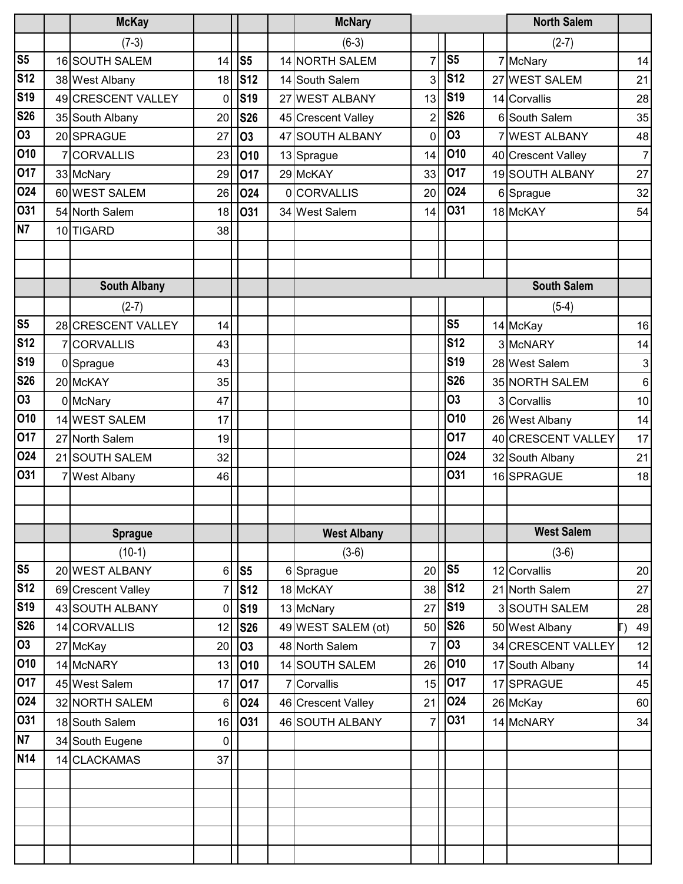|                        | <b>McKay</b>        |                |                |    | <b>McNary</b>       |                |                | <b>North Salem</b>   |                |
|------------------------|---------------------|----------------|----------------|----|---------------------|----------------|----------------|----------------------|----------------|
|                        | $(7-3)$             |                |                |    | $(6-3)$             |                |                | $(2-7)$              |                |
| S <sub>5</sub>         | 16 SOUTH SALEM      | 14             | S <sub>5</sub> |    | 14 NORTH SALEM      | $\overline{7}$ | S <sub>5</sub> | 7 McNary             | 14             |
| <b>S12</b>             | 38 West Albany      | 18             | <b>S12</b>     |    | 14 South Salem      | 3              | <b>S12</b>     | 27 WEST SALEM        | 21             |
| S <sub>19</sub>        | 49 CRESCENT VALLEY  | $\mathbf 0$    | <b>S19</b>     |    | 27 WEST ALBANY      | 13             | <b>S19</b>     | 14 Corvallis         | 28             |
| <b>S26</b>             | 35 South Albany     | 20             | <b>S26</b>     |    | 45 Crescent Valley  | 2              | <b>S26</b>     | 6 South Salem        | 35             |
| $\overline{03}$        | 20 SPRAGUE          | 27             | <b>O3</b>      | 47 | <b>SOUTH ALBANY</b> | 0              | <b>O3</b>      | <b>7 WEST ALBANY</b> | 48             |
| 010                    | 7 CORVALLIS         | 23             | 010            |    | 13 Sprague          | 14             | 010            | 40 Crescent Valley   | $\overline{7}$ |
| 017                    | 33 McNary           | 29             | 017            |    | 29 McKAY            | 33             | 017            | 19 SOUTH ALBANY      | 27             |
| 024                    | 60 WEST SALEM       | 26             | 024            |    | 0CORVALLIS          | 20             | 024            | 6 Sprague            | 32             |
| 031                    | 54 North Salem      | 18             | 031            |    | 34 West Salem       | 14             | 031            | 18 McKAY             | 54             |
| N7                     | 10 TIGARD           | 38             |                |    |                     |                |                |                      |                |
|                        |                     |                |                |    |                     |                |                |                      |                |
|                        |                     |                |                |    |                     |                |                |                      |                |
|                        | <b>South Albany</b> |                |                |    |                     |                |                | <b>South Salem</b>   |                |
|                        | $(2-7)$             |                |                |    |                     |                |                | $(5-4)$              |                |
| S <sub>5</sub>         | 28 CRESCENT VALLEY  | 14             |                |    |                     |                | S <sub>5</sub> | 14 McKay             | 16             |
| S <sub>12</sub>        | 7 CORVALLIS         | 43             |                |    |                     |                | <b>S12</b>     | 3 McNARY             | 14             |
| S <sub>19</sub>        | 0 Sprague           | 43             |                |    |                     |                | <b>S19</b>     | 28 West Salem        | 3              |
| <b>S26</b>             | 20 McKAY            | 35             |                |    |                     |                | <b>S26</b>     | 35 NORTH SALEM       | $\,6$          |
| $\overline{03}$        | 0 McNary            | 47             |                |    |                     |                | <b>O3</b>      | 3 Corvallis          | 10             |
| 010                    | 14 WEST SALEM       | 17             |                |    |                     |                | 010            | 26 West Albany       | 14             |
| 017                    | 27 North Salem      | 19             |                |    |                     |                | 017            | 40 CRESCENT VALLEY   | 17             |
| 024                    | 21 SOUTH SALEM      | 32             |                |    |                     |                | 024            | 32 South Albany      | 21             |
| 031                    | 7 West Albany       | 46             |                |    |                     |                | <b>O31</b>     | 16 SPRAGUE           | 18             |
|                        |                     |                |                |    |                     |                |                |                      |                |
|                        |                     |                |                |    |                     |                |                |                      |                |
|                        | <b>Sprague</b>      |                |                |    | <b>West Albany</b>  |                |                | <b>West Salem</b>    |                |
|                        | $(10-1)$            |                |                |    | $(3-6)$             |                |                | $(3-6)$              |                |
| $\overline{\text{S5}}$ | 20 WEST ALBANY      | 6              | S <sub>5</sub> |    | 6 Sprague           | 20             | S <sub>5</sub> | 12 Corvallis         | 20             |
| <b>S12</b>             | 69 Crescent Valley  | $\overline{7}$ | <b>S12</b>     |    | 18 McKAY            | 38             | <b>S12</b>     | 21 North Salem       | 27             |
| <b>S19</b>             | 43 SOUTH ALBANY     | $\mathbf 0$    | <b>S19</b>     |    | 13 McNary           | 27             | <b>S19</b>     | 3 SOUTH SALEM        | 28             |
| <b>S26</b>             | 14 CORVALLIS        | 12             | <b>S26</b>     |    | 49 WEST SALEM (ot)  | 50             | <b>S26</b>     | 50 West Albany       | 49             |
| $\overline{03}$        | 27 McKay            | 20             | 03             |    | 48 North Salem      | 7              | <b>O3</b>      | 34 CRESCENT VALLEY   | 12             |
| 010                    | 14 McNARY           | 13             | 010            |    | 14 SOUTH SALEM      | 26             | 010            | 17 South Albany      | 14             |
| 017                    | 45 West Salem       | 17             | 017            |    | 7 Corvallis         | 15             | 017            | 17 SPRAGUE           | 45             |
| 024                    | 32 NORTH SALEM      | 6              | 024            |    | 46 Crescent Valley  | 21             | 024            | 26 McKay             | 60             |
| 031                    | 18 South Salem      | 16             | 031            |    | 46 SOUTH ALBANY     | $\overline{7}$ | 031            | 14 McNARY            | 34             |
| N7                     | 34 South Eugene     | 0              |                |    |                     |                |                |                      |                |
| <b>N14</b>             | 14 CLACKAMAS        | 37             |                |    |                     |                |                |                      |                |
|                        |                     |                |                |    |                     |                |                |                      |                |
|                        |                     |                |                |    |                     |                |                |                      |                |
|                        |                     |                |                |    |                     |                |                |                      |                |
|                        |                     |                |                |    |                     |                |                |                      |                |
|                        |                     |                |                |    |                     |                |                |                      |                |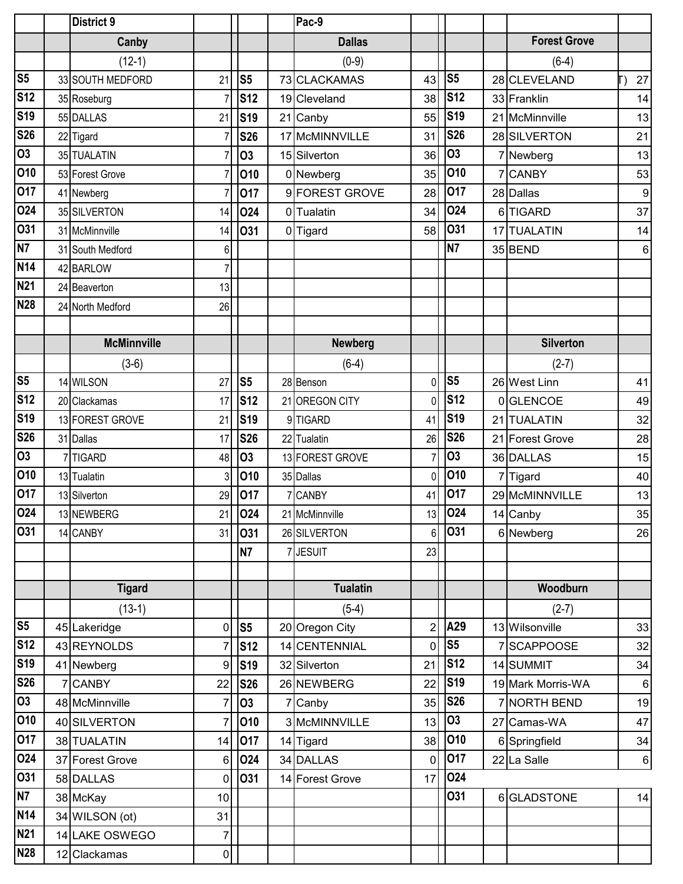|                | <b>District 9</b>  |                |                |    | Pac-9           |                |                   |    |                     |                  |
|----------------|--------------------|----------------|----------------|----|-----------------|----------------|-------------------|----|---------------------|------------------|
|                | Canby              |                |                |    | <b>Dallas</b>   |                |                   |    | <b>Forest Grove</b> |                  |
|                | $(12-1)$           |                |                |    | $(0-9)$         |                |                   |    | $(6-4)$             |                  |
| S <sub>5</sub> | 33 SOUTH MEDFORD   | 21             | S <sub>5</sub> |    | 73 CLACKAMAS    | 43             | S <sub>5</sub>    |    | 28 CLEVELAND        | 27               |
| <b>S12</b>     | 35 Roseburg        |                | <b>S12</b>     |    | 19 Cleveland    | 38             | <b>S12</b>        |    | 33 Franklin         | 14               |
| <b>S19</b>     | 55 DALLAS          | 21             | <b>S19</b>     |    | 21 Canby        | 55             | <b>S19</b>        |    | 21 McMinnville      | 13               |
| <b>S26</b>     | 22 Tigard          |                | <b>S26</b>     | 17 | McMINNVILLE     | 31             | <b>S26</b>        |    | 28 SILVERTON        | 21               |
| 03             | 35 TUALATIN        |                | 03             |    | 15 Silverton    | 36             | <b>O3</b>         |    | 7 Newberg           | 13               |
| 010            | 53 Forest Grove    |                | 010            |    | 0 Newberg       | 35             | 010               |    | <b>CANBY</b>        | 53               |
| 017            | 41 Newberg         |                | 017            |    | 9 FOREST GROVE  | 28             | 017               |    | 28 Dallas           | $\boldsymbol{9}$ |
| 024            | 35 SILVERTON       | 14             | <b>O24</b>     |    | 0 Tualatin      | 34             | 024               |    | 6 TIGARD            | 37               |
| 031            | 31 McMinnville     | 14             | O31            |    | 0 Tigard        | 58             | O31               | 17 | <b>TUALATIN</b>     | 14               |
| N7             | 31 South Medford   | 6              |                |    |                 |                | <b>N7</b>         |    | 35 BEND             | 6                |
| <b>N14</b>     | 42 BARLOW          | 7              |                |    |                 |                |                   |    |                     |                  |
| <b>N21</b>     | 24 Beaverton       | 13             |                |    |                 |                |                   |    |                     |                  |
| <b>N28</b>     | 24 North Medford   | 26             |                |    |                 |                |                   |    |                     |                  |
|                |                    |                |                |    |                 |                |                   |    |                     |                  |
|                | <b>McMinnville</b> |                |                |    | <b>Newberg</b>  |                |                   |    | <b>Silverton</b>    |                  |
|                | $(3-6)$            |                |                |    | $(6-4)$         |                |                   |    | $(2-7)$             |                  |
| S <sub>5</sub> | 14 WILSON          | 27             | S <sub>5</sub> |    | 28 Benson       | $\mathbf 0$    | S <sub>5</sub>    |    | 26 West Linn        | 41               |
| <b>S12</b>     | 20 Clackamas       | 17             | <b>S12</b>     |    | 21 OREGON CITY  | 0              | <b>S12</b>        |    | 0GLENCOE            | 49               |
| <b>S19</b>     | 13 FOREST GROVE    | 21             | <b>S19</b>     |    | 9TIGARD         | 41             | <b>S19</b>        | 21 | <b>TUALATIN</b>     | 32               |
| <b>S26</b>     | 31 Dallas          | 17             | <b>S26</b>     |    | 22 Tualatin     | 26             | <b>S26</b>        |    | 21 Forest Grove     | 28               |
| 03             | 7TIGARD            | 48             | 03             |    | 13 FOREST GROVE | 7              | <b>O3</b>         |    | 36 DALLAS           | 15               |
| 010            | 13 Tualatin        | 3              | 010            |    | 35 Dallas       | $\Omega$       | 010               |    | 7 Tigard            | 40               |
| 017            | 13 Silverton       | 29             | 017            |    | 7 CANBY         | 41             | 017               |    | 29 McMINNVILLE      | 13               |
| 024            | 13 NEWBERG         |                | 21 024         |    | 21 McMinnville  | 13             | $\overline{10}24$ |    | 14 Canby            | 35               |
| 031            | 14 CANBY           | 31             | 031            |    | 26 SILVERTON    | 6 <sup>1</sup> | 031               |    | 6 Newberg           | 26               |
|                |                    |                | <b>N7</b>      |    | <b>JESUIT</b>   | 23             |                   |    |                     |                  |
|                |                    |                |                |    |                 |                |                   |    |                     |                  |
|                | <b>Tigard</b>      |                |                |    | <b>Tualatin</b> |                |                   |    | Woodburn            |                  |
|                | $(13-1)$           |                |                |    | $(5-4)$         |                |                   |    | $(2-7)$             |                  |
| S <sub>5</sub> | 45 Lakeridge       | $\mathbf 0$    | S <sub>5</sub> |    | 20 Oregon City  | $\overline{c}$ | A29               |    | 13 Wilsonville      | 33               |
| <b>S12</b>     | 43 REYNOLDS        | 7              | <b>S12</b>     |    | 14 CENTENNIAL   | 0              | S <sub>5</sub>    |    | SCAPPOOSE           | 32               |
| <b>S19</b>     | 41 Newberg         | 9              | <b>S19</b>     |    | 32 Silverton    | 21             | <b>S12</b>        |    | 14 SUMMIT           | 34               |
| <b>S26</b>     | 7 CANBY            | 22             | <b>S26</b>     |    | 26 NEWBERG      | 22             | <b>S19</b>        |    | 19 Mark Morris-WA   | $6 \overline{6}$ |
| 03             | 48 McMinnville     | $\overline{7}$ | <b>O3</b>      |    | 7 Canby         | 35             | <b>S26</b>        |    | 7 NORTH BEND        | 19               |
| 010            | 40 SILVERTON       | 7              | 010            |    | 3 McMINNVILLE   | 13             | 03                |    | 27 Camas-WA         | 47               |
| 017            | 38 TUALATIN        | 14             | 017            |    | 14 Tigard       | 38             | 010               |    | 6 Springfield       | 34               |
| 024            | 37 Forest Grove    | 6              | 024            |    | 34 DALLAS       | $\mathbf 0$    | 017               |    | 22 La Salle         | $6 \mid$         |
| 031            | 58 DALLAS          | 0              | 031            |    | 14 Forest Grove | 17             | 024               |    |                     |                  |
| <b>N7</b>      | 38 McKay           | 10             |                |    |                 |                | 031               |    | 6 GLADSTONE         | 14               |
| <b>N14</b>     | 34 WILSON (ot)     | 31             |                |    |                 |                |                   |    |                     |                  |
| <b>N21</b>     | 14 LAKE OSWEGO     | $\overline{7}$ |                |    |                 |                |                   |    |                     |                  |
| <b>N28</b>     | 12 Clackamas       | $\overline{0}$ |                |    |                 |                |                   |    |                     |                  |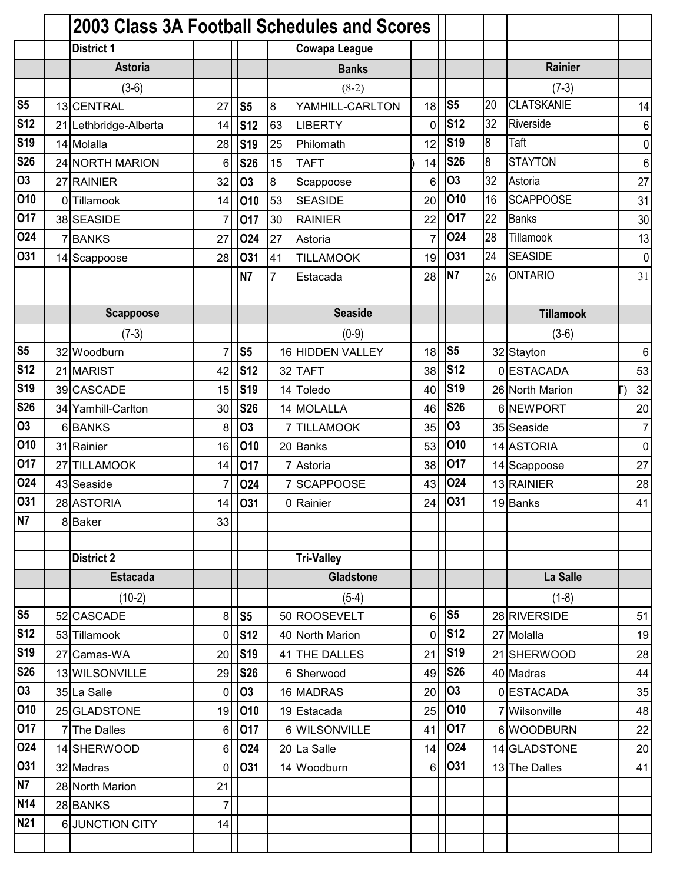|                        |   | 2003 Class 3A Football Schedules and Scores |                |                |                |                      |                |                |    |                   |                |
|------------------------|---|---------------------------------------------|----------------|----------------|----------------|----------------------|----------------|----------------|----|-------------------|----------------|
|                        |   | <b>District 1</b>                           |                |                |                | <b>Cowapa League</b> |                |                |    |                   |                |
|                        |   | <b>Astoria</b>                              |                |                |                | <b>Banks</b>         |                |                |    | Rainier           |                |
|                        |   | $(3-6)$                                     |                |                |                | $(8-2)$              |                |                |    | $(7-3)$           |                |
| S <sub>5</sub>         |   | 13 CENTRAL                                  | 27             | S <sub>5</sub> | 8              | YAMHILL-CARLTON      | 18             | S <sub>5</sub> | 20 | <b>CLATSKANIE</b> | 14             |
| <b>S12</b>             |   | 21 Lethbridge-Alberta                       | 14             | <b>S12</b>     | 63             | <b>LIBERTY</b>       | 0              | <b>S12</b>     | 32 | Riverside         | 6              |
| <b>S19</b>             |   | 14 Molalla                                  | 28             | <b>S19</b>     | 25             | Philomath            | 12             | <b>S19</b>     | 8  | Taft              | $\overline{0}$ |
| <b>S26</b>             |   | 24 NORTH MARION                             | 6              | <b>S26</b>     | 15             | <b>TAFT</b>          | 14             | <b>S26</b>     | 8  | <b>STAYTON</b>    | 6              |
| <b>O3</b>              |   | 27 RAINIER                                  | 32             | 03             | $\bf{8}$       | Scappoose            | 6              | <b>O3</b>      | 32 | Astoria           | 27             |
| 010                    |   | 0 Tillamook                                 | 14             | 010            | 53             | <b>SEASIDE</b>       | 20             | 010            | 16 | <b>SCAPPOOSE</b>  | 31             |
| 017                    |   | 38 SEASIDE                                  | 7              | 017            | 30             | <b>RAINIER</b>       | 22             | 017            | 22 | <b>Banks</b>      | 30             |
| 024                    | 7 | <b>BANKS</b>                                | 27             | 024            | 27             | Astoria              | $\overline{7}$ | 024            | 28 | Tillamook         | 13             |
| 031                    |   | 14 Scappoose                                | 28             | 031            | 41             | <b>TILLAMOOK</b>     | 19             | O31            | 24 | <b>SEASIDE</b>    | $\overline{0}$ |
|                        |   |                                             |                | N <sub>7</sub> | $\overline{7}$ | Estacada             | 28             | <b>N7</b>      | 26 | <b>ONTARIO</b>    | 31             |
|                        |   |                                             |                |                |                |                      |                |                |    |                   |                |
|                        |   | <b>Scappoose</b>                            |                |                |                | <b>Seaside</b>       |                |                |    | <b>Tillamook</b>  |                |
|                        |   | $(7-3)$                                     |                |                |                | $(0-9)$              |                |                |    | $(3-6)$           |                |
| $\overline{\text{S5}}$ |   | 32 Woodburn                                 | 7              | S <sub>5</sub> |                | 16 HIDDEN VALLEY     | 18             | S <sub>5</sub> |    | 32 Stayton        | 6              |
| <b>S12</b>             |   | 21 MARIST                                   | 42             | <b>S12</b>     |                | 32 TAFT              | 38             | <b>S12</b>     |    | 0 ESTACADA        | 53             |
| <b>S19</b>             |   | 39 CASCADE                                  | 15             | <b>S19</b>     |                | 14 Toledo            | 40             | <b>S19</b>     |    | 26 North Marion   | 32             |
| <b>S26</b>             |   | 34 Yamhill-Carlton                          | 30             | <b>S26</b>     |                | 14 MOLALLA           | 46             | <b>S26</b>     |    | 6NEWPORT          | 20             |
| <b>O3</b>              | 6 | <b>BANKS</b>                                | 8              | <b>O3</b>      |                | <b>TILLAMOOK</b>     | 35             | <b>O3</b>      |    | 35 Seaside        | $\overline{7}$ |
| 010                    |   | 31 Rainier                                  | 16             | 010            |                | 20 Banks             | 53             | 010            |    | 14 ASTORIA        | 0              |
| 017                    |   | 27 TILLAMOOK                                | 14             | 017            |                | 7 Astoria            | 38             | 017            |    | 14 Scappoose      | 27             |
| 024                    |   | 43 Seaside                                  | $\overline{7}$ | 024            |                | <b>SCAPPOOSE</b>     | 43             | 024            |    | 13 RAINIER        | 28             |
| 031                    |   | 28 ASTORIA                                  | 14             | 031            |                | 0 Rainier            | 24             | 031            |    | 19 Banks          | 41             |
| N7                     |   | 8 Baker                                     | 33             |                |                |                      |                |                |    |                   |                |
|                        |   |                                             |                |                |                |                      |                |                |    |                   |                |
|                        |   | <b>District 2</b>                           |                |                |                | <b>Tri-Valley</b>    |                |                |    |                   |                |
|                        |   | <b>Estacada</b>                             |                |                |                | <b>Gladstone</b>     |                |                |    | La Salle          |                |
|                        |   | $(10-2)$                                    |                |                |                | $(5-4)$              |                |                |    | $(1-8)$           |                |
| S <sub>5</sub>         |   | 52 CASCADE                                  | 8              | S <sub>5</sub> |                | 50 ROOSEVELT         | 6              | S <sub>5</sub> |    | 28 RIVERSIDE      | 51             |
| <b>S12</b>             |   | 53 Tillamook                                | 0              | <b>S12</b>     |                | 40 North Marion      | 0              | <b>S12</b>     |    | 27 Molalla        | 19             |
| <b>S19</b>             |   | 27 Camas-WA                                 | 20             | <b>S19</b>     |                | 41 THE DALLES        | 21             | <b>S19</b>     |    | 21 SHERWOOD       | 28             |
| <b>S26</b>             |   | 13 WILSONVILLE                              | 29             | <b>S26</b>     |                | 6 Sherwood           | 49             | <b>S26</b>     |    | 40 Madras         | 44             |
| 03                     |   | 35 La Salle                                 | $\mathbf 0$    | 03             |                | 16 MADRAS            | 20             | 03             |    | 0 ESTACADA        | 35             |
| 010                    |   | 25 GLADSTONE                                | 19             | 010            |                | 19 Estacada          | 25             | 010            |    | 7 Wilsonville     | 48             |
| 017                    |   | 7The Dalles                                 | 6              | 017            |                | 6 WILSONVILLE        | 41             | 017            |    | 6 WOODBURN        | 22             |
| 024                    |   | 14 SHERWOOD                                 | 6              | 024            |                | 20 La Salle          | 14             | 024            |    | 14 GLADSTONE      | 20             |
| 031                    |   | 32 Madras                                   | 0              | 031            |                | 14 Woodburn          | 6              | 031            |    | 13 The Dalles     | 41             |
| N <sub>7</sub>         |   | 28 North Marion                             | 21             |                |                |                      |                |                |    |                   |                |
| <b>N14</b>             |   | 28 BANKS                                    | 7              |                |                |                      |                |                |    |                   |                |
| <b>N21</b>             |   | 6 JUNCTION CITY                             | 14             |                |                |                      |                |                |    |                   |                |
|                        |   |                                             |                |                |                |                      |                |                |    |                   |                |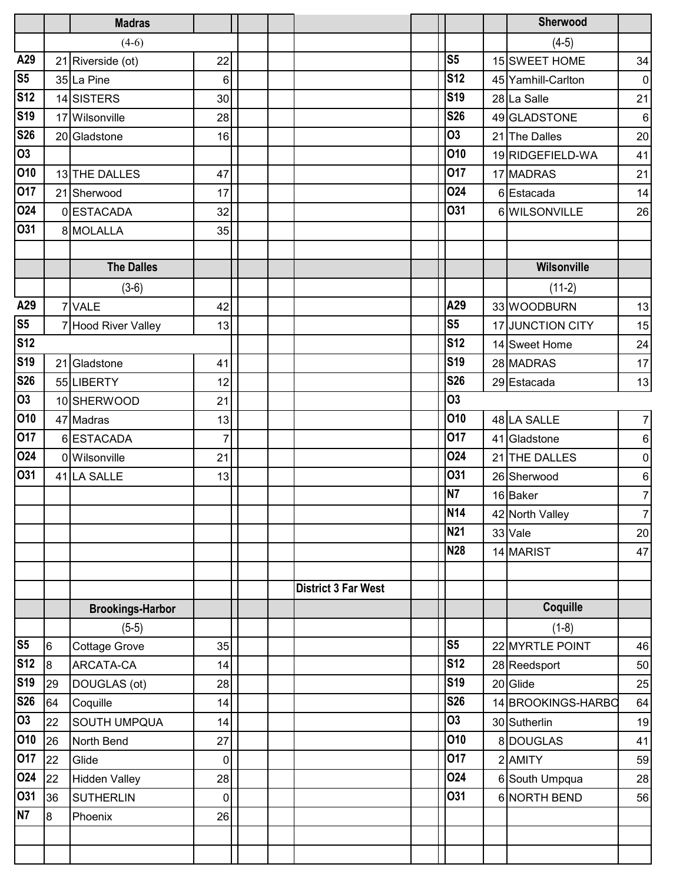|                 |                 | <b>Madras</b>           |                |                            |                | Sherwood           |                |
|-----------------|-----------------|-------------------------|----------------|----------------------------|----------------|--------------------|----------------|
|                 |                 | $(4-6)$                 |                |                            |                | $(4-5)$            |                |
| A29             |                 | 21 Riverside (ot)       | 22             |                            | S <sub>5</sub> | 15 SWEET HOME      | 34             |
| S <sub>5</sub>  |                 | 35 La Pine              | 6              |                            | <b>S12</b>     | 45 Yamhill-Carlton | $\overline{0}$ |
| <b>S12</b>      |                 | 14 SISTERS              | 30             |                            | <b>S19</b>     | 28 La Salle        | 21             |
| <b>S19</b>      |                 | 17 Wilsonville          | 28             |                            | <b>S26</b>     | 49 GLADSTONE       | 6              |
| <b>S26</b>      |                 | 20 Gladstone            | 16             |                            | 03             | 21 The Dalles      | 20             |
| 03              |                 |                         |                |                            | 010            | 19 RIDGEFIELD-WA   | 41             |
| 010             |                 | 13THE DALLES            | 47             |                            | 017            | 17 MADRAS          | 21             |
| 017             |                 | 21 Sherwood             | 17             |                            | 024            | 6 Estacada         | 14             |
| 024             |                 | 0 ESTACADA              | 32             |                            | 031            | 6 WILSONVILLE      | 26             |
| 031             |                 | 8 MOLALLA               | 35             |                            |                |                    |                |
|                 |                 |                         |                |                            |                |                    |                |
|                 |                 | <b>The Dalles</b>       |                |                            |                | <b>Wilsonville</b> |                |
|                 |                 | $(3-6)$                 |                |                            |                | $(11-2)$           |                |
| A29             |                 | 7 VALE                  | 42             |                            | A29            | 33 WOODBURN        | 13             |
| S <sub>5</sub>  |                 | 7 Hood River Valley     | 13             |                            | S <sub>5</sub> | 17 JUNCTION CITY   | 15             |
| <b>S12</b>      |                 |                         |                |                            | <b>S12</b>     | 14 Sweet Home      | 24             |
| <b>S19</b>      |                 | 21 Gladstone            | 41             |                            | <b>S19</b>     | 28 MADRAS          | 17             |
| <b>S26</b>      |                 | 55 LIBERTY              | 12             |                            | <b>S26</b>     | 29 Estacada        | 13             |
| 03              |                 | 10 SHERWOOD             | 21             |                            | <b>O3</b>      |                    |                |
| 010             |                 | 47 Madras               | 13             |                            | 010            | 48 LA SALLE        | 7 <sup>1</sup> |
| 017             |                 | 6 ESTACADA              | $\overline{7}$ |                            | 017            | 41 Gladstone       | $6 \mid$       |
| 024             |                 | 0 Wilsonville           | 21             |                            | 024            | 21 THE DALLES      | 0              |
| 031             |                 | 41 LA SALLE             | 13             |                            | 031            | 26 Sherwood        | $\,6\,$        |
|                 |                 |                         |                |                            | <b>N7</b>      | 16 Baker           | $\overline{7}$ |
|                 |                 |                         |                |                            | <b>N14</b>     | 42 North Valley    | 7 <sup>1</sup> |
|                 |                 |                         |                |                            | <b>N21</b>     | 33 Vale            | 20             |
|                 |                 |                         |                |                            | <b>N28</b>     | 14 MARIST          | 47             |
|                 |                 |                         |                |                            |                |                    |                |
|                 |                 |                         |                | <b>District 3 Far West</b> |                |                    |                |
|                 |                 | <b>Brookings-Harbor</b> |                |                            |                | Coquille           |                |
|                 |                 | $(5-5)$                 |                |                            |                | $(1-8)$            |                |
| S <sub>5</sub>  | $6\phantom{.}6$ | <b>Cottage Grove</b>    | 35             |                            | S <sub>5</sub> | 22 MYRTLE POINT    | 46             |
| <b>S12</b>      | $\mathsf{B}$    | ARCATA-CA               | 14             |                            | <b>S12</b>     | 28 Reedsport       | 50             |
| S <sub>19</sub> | 29              | DOUGLAS (ot)            | 28             |                            | <b>S19</b>     | 20 Glide           | 25             |
| <b>S26</b>      | 64              | Coquille                | 14             |                            | <b>S26</b>     | 14 BROOKINGS-HARBO | 64             |
| $\overline{03}$ | 22              | <b>SOUTH UMPQUA</b>     | 14             |                            | <b>O3</b>      | 30 Sutherlin       | 19             |
| 010             | 26              | North Bend              | 27             |                            | 010            | 8DOUGLAS           | 41             |
| 017             | 22              | Glide                   | 0              |                            | 017            | 2 AMITY            | 59             |
| 024             | 22              | <b>Hidden Valley</b>    | 28             |                            | <b>O24</b>     | 6 South Umpqua     | 28             |
| 031             | 36              | <b>SUTHERLIN</b>        | 0              |                            | 031            | 6 NORTH BEND       | 56             |
| N7              | $\overline{8}$  | Phoenix                 | 26             |                            |                |                    |                |
|                 |                 |                         |                |                            |                |                    |                |
|                 |                 |                         |                |                            |                |                    |                |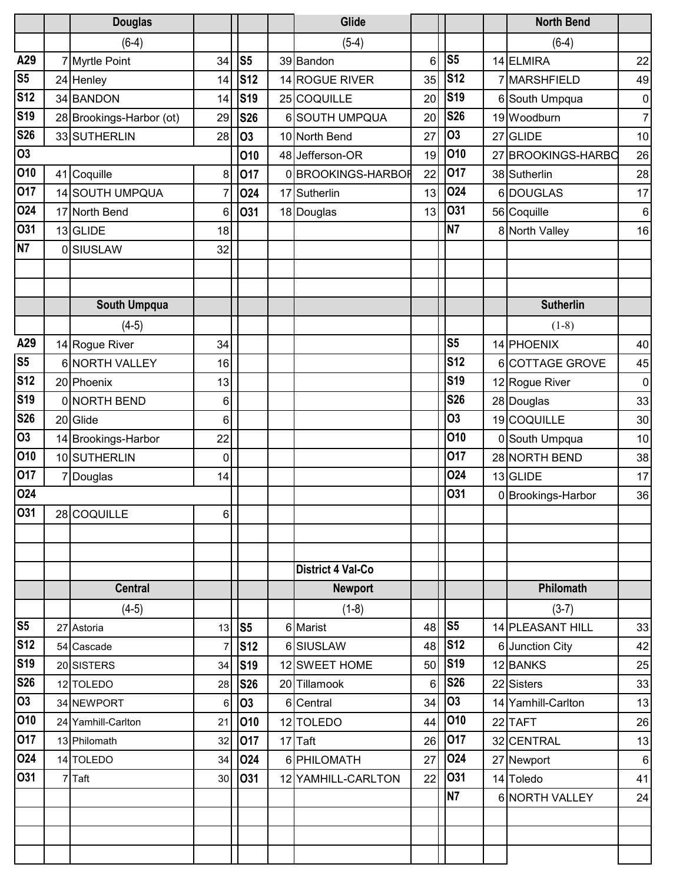|                | <b>Douglas</b>           |                |                |    | Glide                    |    |                |   | <b>North Bend</b>  |                |
|----------------|--------------------------|----------------|----------------|----|--------------------------|----|----------------|---|--------------------|----------------|
|                | $(6-4)$                  |                |                |    | $(5-4)$                  |    |                |   | $(6-4)$            |                |
| A29            | 7 Myrtle Point           | 34             | S <sub>5</sub> |    | 39 Bandon                | 6  | S <sub>5</sub> |   | 14 ELMIRA          | 22             |
| S <sub>5</sub> | 24 Henley                | 14             | <b>S12</b>     |    | 14 ROGUE RIVER           | 35 | <b>S12</b>     |   | 7 MARSHFIELD       | 49             |
| <b>S12</b>     | 34 BANDON                | 14             | <b>S19</b>     |    | 25 COQUILLE              | 20 | <b>S19</b>     | 6 | South Umpqua       | $\pmb{0}$      |
| <b>S19</b>     | 28 Brookings-Harbor (ot) | 29             | <b>S26</b>     |    | 6 SOUTH UMPQUA           | 20 | <b>S26</b>     |   | 19 Woodburn        | $\overline{7}$ |
| <b>S26</b>     | 33 SUTHERLIN             | 28             | 03             |    | 10 North Bend            | 27 | 03             |   | 27 GLIDE           | 10             |
| <b>O3</b>      |                          |                | 010            |    | 48 Jefferson-OR          | 19 | 010            |   | 27 BROOKINGS-HARBO | 26             |
| 010            | 41 Coquille              | 8              | 017            |    | 0 BROOKINGS-HARBOR       | 22 | 017            |   | 38 Sutherlin       | 28             |
| 017            | 14 SOUTH UMPQUA          | 7              | <b>024</b>     | 17 | Sutherlin                | 13 | 024            |   | 6DOUGLAS           | 17             |
| 024            | 17 North Bend            | 6              | 031            |    | 18 Douglas               | 13 | 031            |   | 56 Coquille        | 6              |
| <b>O31</b>     | 13 GLIDE                 | 18             |                |    |                          |    | <b>N7</b>      |   | 8 North Valley     | 16             |
| N7             | 0 SIUSLAW                | 32             |                |    |                          |    |                |   |                    |                |
|                |                          |                |                |    |                          |    |                |   |                    |                |
|                |                          |                |                |    |                          |    |                |   |                    |                |
|                | <b>South Umpqua</b>      |                |                |    |                          |    |                |   | <b>Sutherlin</b>   |                |
|                | $(4-5)$                  |                |                |    |                          |    |                |   | $(1-8)$            |                |
| A29            | 14 Rogue River           | 34             |                |    |                          |    | S <sub>5</sub> |   | 14 PHOENIX         | 40             |
| S <sub>5</sub> | 6 NORTH VALLEY           | 16             |                |    |                          |    | <b>S12</b>     |   | 6 COTTAGE GROVE    | 45             |
| <b>S12</b>     | 20 Phoenix               | 13             |                |    |                          |    | <b>S19</b>     |   | 12 Rogue River     | $\mathbf 0$    |
| <b>S19</b>     | 0 NORTH BEND             | 6              |                |    |                          |    | <b>S26</b>     |   | 28 Douglas         | 33             |
| <b>S26</b>     | 20 Glide                 | 6              |                |    |                          |    | 03             |   | 19 COQUILLE        | 30             |
| <b>O3</b>      | 14 Brookings-Harbor      | 22             |                |    |                          |    | 010            |   | 0 South Umpqua     | 10             |
| 010            | 10SUTHERLIN              | $\mathbf 0$    |                |    |                          |    | 017            |   | 28 NORTH BEND      | 38             |
| 017            | 7 Douglas                | 14             |                |    |                          |    | <b>O24</b>     |   | 13 GLIDE           | 17             |
| 024            |                          |                |                |    |                          |    | O31            |   | 0 Brookings-Harbor | 36             |
| 031            | 28 COQUILLE              | 6 <sup>1</sup> |                |    |                          |    |                |   |                    |                |
|                |                          |                |                |    |                          |    |                |   |                    |                |
|                |                          |                |                |    |                          |    |                |   |                    |                |
|                |                          |                |                |    | <b>District 4 Val-Co</b> |    |                |   |                    |                |
|                | <b>Central</b>           |                |                |    | <b>Newport</b>           |    |                |   | Philomath          |                |
|                | $(4-5)$                  |                |                |    | $(1-8)$                  |    |                |   | $(3-7)$            |                |
| S <sub>5</sub> | 27 Astoria               | 13             | S <sub>5</sub> |    | 6 Marist                 | 48 | S <sub>5</sub> |   | 14 PLEASANT HILL   | 33             |
| <b>S12</b>     | 54 Cascade               |                | <b>S12</b>     |    | 6 SIUSLAW                | 48 | <b>S12</b>     |   | 6 Junction City    | 42             |
| <b>S19</b>     | 20 SISTERS               | 34             | <b>S19</b>     |    | 12 SWEET HOME            | 50 | <b>S19</b>     |   | 12 BANKS           | 25             |
| <b>S26</b>     | 12 TOLEDO                | 28             | <b>S26</b>     |    | 20 Tillamook             | 6  | <b>S26</b>     |   | 22 Sisters         | 33             |
| <b>O3</b>      | 34 NEWPORT               | 6              | <b>O3</b>      |    | 6 Central                | 34 | <b>O3</b>      |   | 14 Yamhill-Carlton | 13             |
| 010            | 24 Yamhill-Carlton       | 21             | 010            |    | 12 TOLEDO                | 44 | 010            |   | 22 TAFT            | 26             |
| 017            | 13 Philomath             | 32             | 017            |    | 17 Taft                  | 26 | 017            |   | 32 CENTRAL         | 13             |
| 024            | 14 TOLEDO                | 34             | 024            |    | 6 PHILOMATH              | 27 | 024            |   | 27 Newport         | $\,6$          |
| 031            | 7Taft                    | 30             | 031            |    | 12 YAMHILL-CARLTON       | 22 | 031            |   | 14 Toledo          | 41             |
|                |                          |                |                |    |                          |    | N7             |   | 6 NORTH VALLEY     | 24             |
|                |                          |                |                |    |                          |    |                |   |                    |                |
|                |                          |                |                |    |                          |    |                |   |                    |                |
|                |                          |                |                |    |                          |    |                |   |                    |                |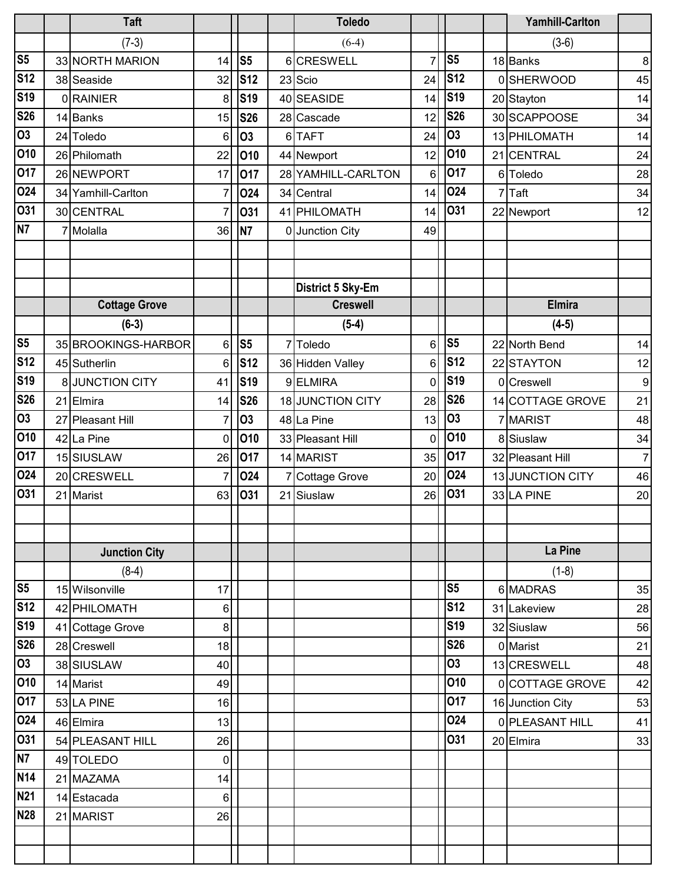|                  |    | <b>Taft</b>          |                |                |    | <b>Toledo</b>      |                |                |   | <b>Yamhill-Carlton</b> |                  |
|------------------|----|----------------------|----------------|----------------|----|--------------------|----------------|----------------|---|------------------------|------------------|
|                  |    | $(7-3)$              |                |                |    | $(6-4)$            |                |                |   | $(3-6)$                |                  |
| S <sub>5</sub>   |    | 33 NORTH MARION      | 14             | S <sub>5</sub> |    | 6 CRESWELL         | $\overline{7}$ | S <sub>5</sub> |   | 18 Banks               | $\bf 8$          |
| <b>S12</b>       |    | 38 Seaside           | 32             | <b>S12</b>     |    | 23 Scio            | 24             | <b>S12</b>     |   | 0SHERWOOD              | 45               |
| <b>S19</b>       |    | 0RAINIER             | 8              | <b>S19</b>     |    | 40 SEASIDE         | 14             | <b>S19</b>     |   | 20 Stayton             | 14               |
| <b>S26</b>       |    | 14 Banks             | 15             | <b>S26</b>     |    | 28 Cascade         | 12             | <b>S26</b>     |   | 30 SCAPPOOSE           | 34               |
| $\overline{03}$  |    | 24 Toledo            | 6              | 03             |    | 6TAFT              | 24             | 03             |   | 13 PHILOMATH           | 14               |
| 010              |    | 26 Philomath         | 22             | 010            |    | 44 Newport         | 12             | 010            |   | 21 CENTRAL             | 24               |
| 017              |    | 26 NEWPORT           | 17             | 017            |    | 28 YAMHILL-CARLTON | 6              | 017            |   | 6 Toledo               | 28               |
| 024              |    | 34 Yamhill-Carlton   | 7              | 024            |    | 34 Central         | 14             | 024            | 7 | Taft                   | 34               |
| 031              |    | 30 CENTRAL           | 7              | <b>031</b>     |    | 41 PHILOMATH       | 14             | 031            |   | 22 Newport             | 12               |
| N7               |    | Molalla              | 36             | N7             |    | 0 Junction City    | 49             |                |   |                        |                  |
|                  |    |                      |                |                |    |                    |                |                |   |                        |                  |
|                  |    |                      |                |                |    |                    |                |                |   |                        |                  |
|                  |    |                      |                |                |    | District 5 Sky-Em  |                |                |   |                        |                  |
|                  |    | <b>Cottage Grove</b> |                |                |    | <b>Creswell</b>    |                |                |   | <b>Elmira</b>          |                  |
|                  |    | $(6-3)$              |                |                |    | $(5-4)$            |                |                |   | $(4-5)$                |                  |
| S <sub>5</sub>   |    | 35 BROOKINGS-HARBOR  | 6              | S <sub>5</sub> |    | Toledo             | 6              | S <sub>5</sub> |   | 22 North Bend          | 14               |
| S <sub>12</sub>  |    | 45 Sutherlin         | 6              | <b>S12</b>     |    | 36 Hidden Valley   | 6              | <b>S12</b>     |   | 22 STAYTON             | 12               |
| S <sub>19</sub>  |    | 8 JUNCTION CITY      | 41             | <b>S19</b>     |    | 9ELMIRA            | 0              | <b>S19</b>     |   | 0 Creswell             | $\boldsymbol{9}$ |
| <b>S26</b>       |    | 21 Elmira            | 14             | <b>S26</b>     |    | 18 JUNCTION CITY   | 28             | <b>S26</b>     |   | 14 COTTAGE GROVE       | 21               |
| $\overline{03}$  |    | 27 Pleasant Hill     | 7              | 03             |    | 48 La Pine         | 13             | 03             |   | 7 MARIST               | 48               |
| 010              |    | 42 La Pine           | 0              | 010            |    | 33 Pleasant Hill   | 0              | <b>010</b>     |   | 8 Siuslaw              | 34               |
| 017              |    | 15 SIUSLAW           | 26             | 017            |    | 14 MARIST          | 35             | 017            |   | 32 Pleasant Hill       | $\overline{7}$   |
| 024              |    | 20 CRESWELL          | $\overline{7}$ | 024            |    | 7 Cottage Grove    | 20             | <b>O24</b>     |   | 13 JUNCTION CITY       | 46               |
| 031              | 21 | Marist               | 63             | 031            | 21 | Siuslaw            | 26             | O31            |   | 33 LA PINE             | 20               |
|                  |    |                      |                |                |    |                    |                |                |   |                        |                  |
|                  |    |                      |                |                |    |                    |                |                |   |                        |                  |
|                  |    | <b>Junction City</b> |                |                |    |                    |                |                |   | La Pine                |                  |
|                  |    | $(8-4)$              |                |                |    |                    |                |                |   | $(1-8)$                |                  |
| S <sub>5</sub>   |    | 15 Wilsonville       | 17             |                |    |                    |                | S <sub>5</sub> |   | 6 MADRAS               | 35               |
| <b>S12</b>       |    | 42 PHILOMATH         | 6              |                |    |                    |                | <b>S12</b>     |   | 31 Lakeview            | 28               |
| <b>S19</b>       |    | 41 Cottage Grove     | 8              |                |    |                    |                | <b>S19</b>     |   | 32 Siuslaw             | 56               |
| <b>S26</b>       |    | 28 Creswell          | 18             |                |    |                    |                | <b>S26</b>     |   | 0 Marist               | 21               |
| $\overline{03}$  |    | 38 SIUSLAW           | 40             |                |    |                    |                | 03             |   | 13 CRESWELL            | 48               |
| 010              |    | 14 Marist            | 49             |                |    |                    |                | 010            |   | 0 COTTAGE GROVE        | 42               |
| 017              |    | 53 LA PINE           | 16             |                |    |                    |                | 017            |   | 16 Junction City       | 53               |
| 024              |    | 46 Elmira            | 13             |                |    |                    |                | <b>024</b>     |   | 0 PLEASANT HILL        | 41               |
| 031              |    | 54 PLEASANT HILL     | 26             |                |    |                    |                | <b>031</b>     |   | 20 Elmira              | 33               |
| N7               |    | 49 TOLEDO            | 0              |                |    |                    |                |                |   |                        |                  |
| <b>N14</b>       |    | 21 MAZAMA            | 14             |                |    |                    |                |                |   |                        |                  |
| $\overline{N}21$ |    | 14 Estacada          | 6              |                |    |                    |                |                |   |                        |                  |
| <b>N28</b>       |    | 21 MARIST            | 26             |                |    |                    |                |                |   |                        |                  |
|                  |    |                      |                |                |    |                    |                |                |   |                        |                  |
|                  |    |                      |                |                |    |                    |                |                |   |                        |                  |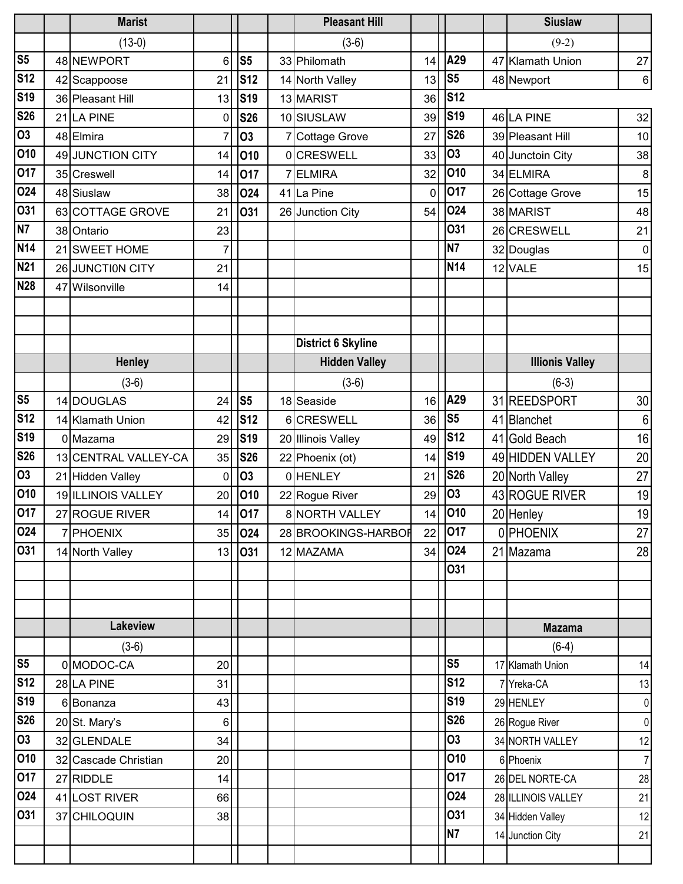|                | <b>Marist</b>        |                |                | <b>Pleasant Hill</b>      |    |                | <b>Siuslaw</b>         |                 |
|----------------|----------------------|----------------|----------------|---------------------------|----|----------------|------------------------|-----------------|
|                | $(13-0)$             |                |                | $(3-6)$                   |    |                | $(9-2)$                |                 |
| S <sub>5</sub> | 48 NEWPORT           | 6              | S <sub>5</sub> | 33 Philomath              | 14 | A29            | 47 Klamath Union       | 27              |
| <b>S12</b>     | 42 Scappoose         | 21             | <b>S12</b>     | 14 North Valley           | 13 | S <sub>5</sub> | 48 Newport             | 6 <sup>1</sup>  |
| <b>S19</b>     | 36 Pleasant Hill     | 13             | <b>S19</b>     | 13 MARIST                 | 36 | <b>S12</b>     |                        |                 |
| <b>S26</b>     | 21 LA PINE           | 0              | <b>S26</b>     | 10 SIUSLAW                | 39 | <b>S19</b>     | 46 LA PINE             | 32              |
| <b>O3</b>      | 48 Elmira            | 7              | 03             | <b>Cottage Grove</b>      | 27 | <b>S26</b>     | 39 Pleasant Hill       | 10 <sup>1</sup> |
| 010            | 49 JUNCTION CITY     | 14             | 010            | <b>olCRESWELL</b>         | 33 | <b>O3</b>      | 40 Junctoin City       | 38              |
| 017            | 35 Creswell          | 14             | 017            | ELMIRA                    | 32 | <b>O10</b>     | 34 ELMIRA              | 8 <sup>1</sup>  |
| 024            | 48 Siuslaw           | 38             | 024            | 41 La Pine                | 0  | 017            | 26 Cottage Grove       | 15              |
| 031            | 63 COTTAGE GROVE     | 21             | O31            | 26 Junction City          | 54 | <b>O24</b>     | 38 MARIST              | 48              |
| N7             | 38 Ontario           | 23             |                |                           |    | 031            | 26 CRESWELL            | 21              |
| <b>N14</b>     | 21 SWEET HOME        | 7              |                |                           |    | <b>N7</b>      | 32 Douglas             | $\overline{0}$  |
| <b>N21</b>     | 26 JUNCTION CITY     | 21             |                |                           |    | <b>N14</b>     | 12 VALE                | 15              |
| <b>N28</b>     | 47 Wilsonville       | 14             |                |                           |    |                |                        |                 |
|                |                      |                |                |                           |    |                |                        |                 |
|                |                      |                |                |                           |    |                |                        |                 |
|                |                      |                |                | <b>District 6 Skyline</b> |    |                |                        |                 |
|                | <b>Henley</b>        |                |                | <b>Hidden Valley</b>      |    |                | <b>Illionis Valley</b> |                 |
|                | $(3-6)$              |                |                | $(3-6)$                   |    |                | $(6-3)$                |                 |
| S <sub>5</sub> | 14 DOUGLAS           | 24             | S <sub>5</sub> | 18 Seaside                | 16 | A29            | 31 REEDSPORT           | 30 <sup>°</sup> |
| <b>S12</b>     | 14 Klamath Union     | 42             | <b>S12</b>     | 6CRESWELL                 | 36 | S <sub>5</sub> | 41 Blanchet            | $6\phantom{.}6$ |
| <b>S19</b>     | 0 Mazama             | 29             | <b>S19</b>     | 20 Illinois Valley        | 49 | <b>S12</b>     | 41 Gold Beach          | 16              |
| <b>S26</b>     | 13 CENTRAL VALLEY-CA | 35             | <b>S26</b>     | 22 Phoenix (ot)           | 14 | <b>S19</b>     | 49 HIDDEN VALLEY       | 20              |
| <b>O3</b>      | 21 Hidden Valley     | 0              | 03             | 0HENLEY                   | 21 | <b>S26</b>     | 20 North Valley        | 27              |
| 010            | 19 ILLINOIS VALLEY   | 20             | 010            | 22 Rogue River            | 29 | <b>O3</b>      | 43 ROGUE RIVER         | 19              |
| 017            | 27 ROGUE RIVER       |                | 14 017         | 8 NORTH VALLEY            |    | 14 010         | 20 Henley              | 19              |
| 024            | 7 PHOENIX            | 35             | 024            | 28 BROOKINGS-HARBOR       | 22 | 017            | 0 PHOENIX              | 27              |
| 031            | 14 North Valley      | 13             | 031            | 12 MAZAMA                 | 34 | 024            | 21 Mazama              | 28              |
|                |                      |                |                |                           |    | <b>031</b>     |                        |                 |
|                |                      |                |                |                           |    |                |                        |                 |
|                |                      |                |                |                           |    |                |                        |                 |
|                | <b>Lakeview</b>      |                |                |                           |    |                | <b>Mazama</b>          |                 |
|                | $(3-6)$              |                |                |                           |    |                | $(6-4)$                |                 |
| S <sub>5</sub> | 0 MODOC-CA           | 20             |                |                           |    | S <sub>5</sub> | 17 Klamath Union       | 14              |
| <b>S12</b>     | 28 LA PINE           | 31             |                |                           |    | <b>S12</b>     | 7 Yreka-CA             | 13              |
| <b>S19</b>     | 6 Bonanza            | 43             |                |                           |    | <b>S19</b>     | 29 HENLEY              | $\overline{0}$  |
| <b>S26</b>     | 20 St. Mary's        | $6\phantom{.}$ |                |                           |    | <b>S26</b>     | 26 Rogue River         | $\overline{0}$  |
| 03             | 32 GLENDALE          | 34             |                |                           |    | <b>O3</b>      | 34 NORTH VALLEY        | 12              |
| 010            | 32 Cascade Christian | 20             |                |                           |    | 010            | 6 Phoenix              | $\overline{7}$  |
| 017            | 27 RIDDLE            | 14             |                |                           |    | 017            | 26 DEL NORTE-CA        | 28              |
| 024            | 41 LOST RIVER        | 66             |                |                           |    | 024            | 28 ILLINOIS VALLEY     | 21              |
| 031            | 37 CHILOQUIN         | 38             |                |                           |    | <b>O31</b>     | 34 Hidden Valley       | 12              |
|                |                      |                |                |                           |    | <b>N7</b>      | 14 Junction City       | 21              |
|                |                      |                |                |                           |    |                |                        |                 |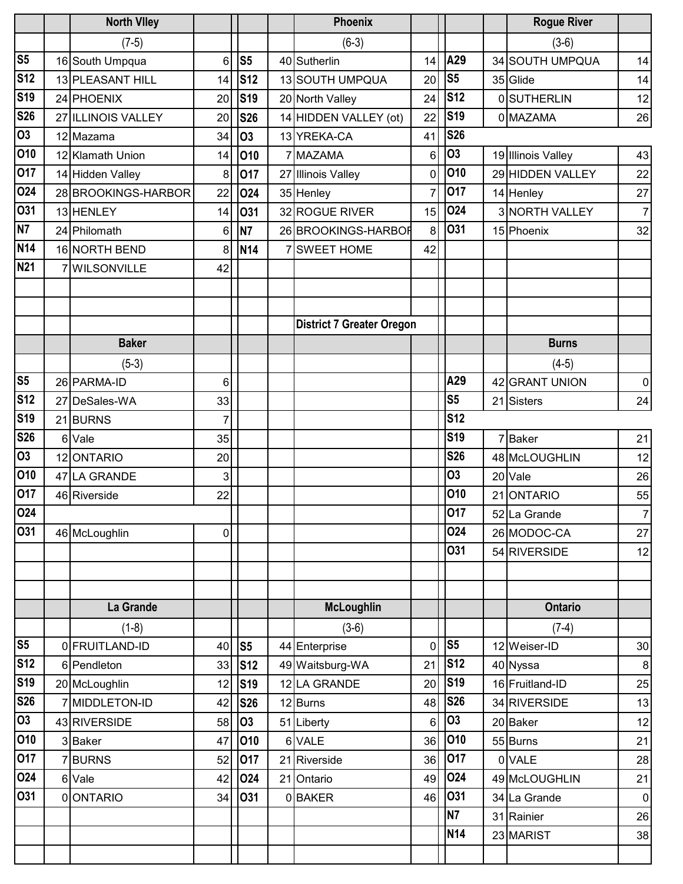|                | <b>North Viley</b>  |    |                | <b>Phoenix</b>                   |    |                | <b>Rogue River</b> |                |
|----------------|---------------------|----|----------------|----------------------------------|----|----------------|--------------------|----------------|
|                | $(7-5)$             |    |                | $(6-3)$                          |    |                | $(3-6)$            |                |
| S <sub>5</sub> | 16 South Umpqua     | 6  | S <sub>5</sub> | 40 Sutherlin                     | 14 | A29            | 34 SOUTH UMPQUA    | 14             |
| <b>S12</b>     | 13 PLEASANT HILL    | 14 | <b>S12</b>     | 13 SOUTH UMPQUA                  | 20 | S <sub>5</sub> | 35 Glide           | 14             |
| <b>S19</b>     | 24 PHOENIX          | 20 | <b>S19</b>     | 20 North Valley                  | 24 | <b>S12</b>     | <b>OSUTHERLIN</b>  | 12             |
| <b>S26</b>     | 27 ILLINOIS VALLEY  | 20 | <b>S26</b>     | 14 HIDDEN VALLEY (ot)            | 22 | <b>S19</b>     | 0 MAZAMA           | 26             |
| <b>O3</b>      | 12 Mazama           | 34 | <b>O3</b>      | 13 YREKA-CA                      | 41 | <b>S26</b>     |                    |                |
| 010            | 12 Klamath Union    | 14 | 010            | 7 MAZAMA                         | 6  | <b>O3</b>      | 19 Illinois Valley | 43             |
| 017            | 14 Hidden Valley    | 8  | 017            | Illinois Valley                  | 0  | 010            | 29 HIDDEN VALLEY   | 22             |
| 024            | 28 BROOKINGS-HARBOR | 22 | 024            | 35 Henley                        | 7  | 017            | 14 Henley          | 27             |
| 031            | 13 HENLEY           | 14 | 031            | 32 ROGUE RIVER                   | 15 | 024            | 3 NORTH VALLEY     | $\overline{7}$ |
| N <sub>7</sub> | 24 Philomath        | 6  | N7             | 26 BROOKINGS-HARBOR              | 8  | 031            | 15 Phoenix         | 32             |
| <b>N14</b>     | 16 NORTH BEND       | 8  | <b>N14</b>     | 7 SWEET HOME                     | 42 |                |                    |                |
| <b>N21</b>     | <b>WILSONVILLE</b>  | 42 |                |                                  |    |                |                    |                |
|                |                     |    |                |                                  |    |                |                    |                |
|                |                     |    |                |                                  |    |                |                    |                |
|                |                     |    |                | <b>District 7 Greater Oregon</b> |    |                |                    |                |
|                | <b>Baker</b>        |    |                |                                  |    |                | <b>Burns</b>       |                |
|                | $(5-3)$             |    |                |                                  |    |                | $(4-5)$            |                |
| S <sub>5</sub> | 26 PARMA-ID         | 6  |                |                                  |    | A29            | 42 GRANT UNION     | $\mathbf 0$    |
| <b>S12</b>     | 27 DeSales-WA       | 33 |                |                                  |    | S <sub>5</sub> | 21 Sisters         | 24             |
| <b>S19</b>     | 21 BURNS            | 7  |                |                                  |    | <b>S12</b>     |                    |                |
| <b>S26</b>     | 6 Vale              | 35 |                |                                  |    | <b>S19</b>     | 7Baker             | 21             |
| 03             | 12 ONTARIO          | 20 |                |                                  |    | <b>S26</b>     | 48 McLOUGHLIN      | 12             |
| 010            | 47 LA GRANDE        | 3  |                |                                  |    | <b>O3</b>      | 20 Vale            | 26             |
| 017            | 46 Riverside        | 22 |                |                                  |    | 010            | 21 ONTARIO         | 55             |
| 024            |                     |    |                |                                  |    | 017            | 52 La Grande       | $\overline{7}$ |
| 031            | 46 McLoughlin       | 0  |                |                                  |    | 024            | 26 MODOC-CA        | 27             |
|                |                     |    |                |                                  |    | <b>O31</b>     | 54 RIVERSIDE       | 12             |
|                |                     |    |                |                                  |    |                |                    |                |
|                |                     |    |                |                                  |    |                |                    |                |
|                | La Grande           |    |                | McLoughlin                       |    |                | <b>Ontario</b>     |                |
|                | $(1-8)$             |    |                | $(3-6)$                          |    |                | $(7-4)$            |                |
| S <sub>5</sub> | 0 FRUITLAND-ID      | 40 | S <sub>5</sub> | 44 Enterprise                    | 0  | S <sub>5</sub> | 12 Weiser-ID       | 30             |
| <b>S12</b>     | 6 Pendleton         | 33 | <b>S12</b>     | 49 Waitsburg-WA                  | 21 | <b>S12</b>     | 40 Nyssa           | $\bf 8$        |
| <b>S19</b>     | 20 McLoughlin       | 12 | <b>S19</b>     | 12 LA GRANDE                     | 20 | <b>S19</b>     | 16 Fruitland-ID    | 25             |
| <b>S26</b>     | 7 MIDDLETON-ID      | 42 | <b>S26</b>     | 12 Burns                         | 48 | <b>S26</b>     | 34 RIVERSIDE       | 13             |
| 03             | 43 RIVERSIDE        | 58 | 03             | 51 Liberty                       | 6  | 03             | 20 Baker           | 12             |
| 010            | 3 Baker             | 47 | 010            | 6 VALE                           | 36 | 010            | 55 Burns           | 21             |
| 017            | 7BURNS              | 52 | 017            | 21 Riverside                     | 36 | 017            | 0 VALE             | 28             |
| 024            | 6 Vale              | 42 | 024            | 21 Ontario                       | 49 | 024            | 49 McLOUGHLIN      | 21             |
| 031            | 0 ONTARIO           | 34 | 031            | 0BAKER                           | 46 | 031            | 34 La Grande       | $\pmb{0}$      |
|                |                     |    |                |                                  |    | <b>N7</b>      | 31 Rainier         | 26             |
|                |                     |    |                |                                  |    | <b>N14</b>     | 23 MARIST          | 38             |
|                |                     |    |                |                                  |    |                |                    |                |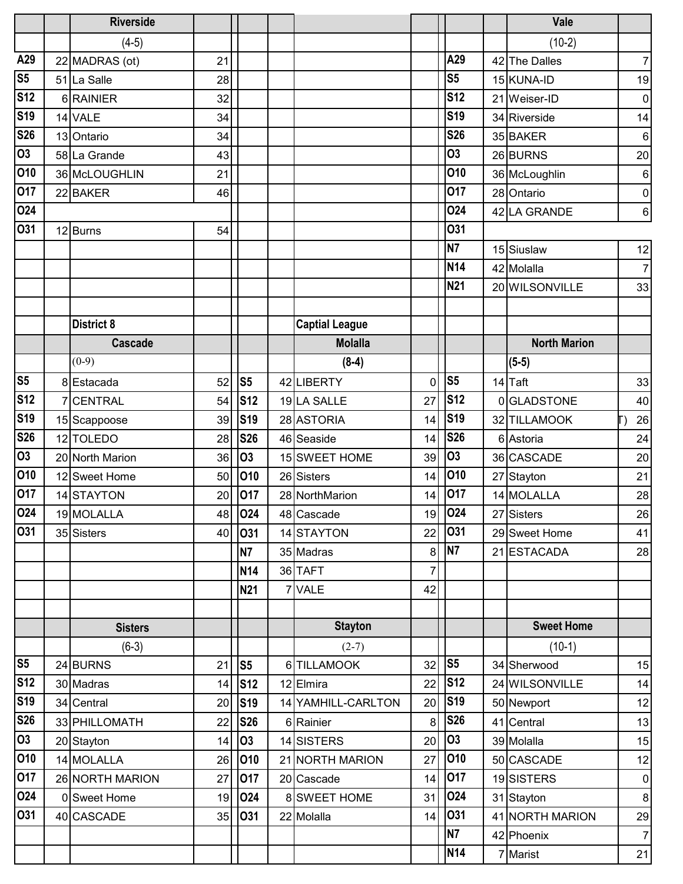|                        | <b>Riverside</b>  |    |                |                       |                |                | Vale                |                |
|------------------------|-------------------|----|----------------|-----------------------|----------------|----------------|---------------------|----------------|
|                        | $(4-5)$           |    |                |                       |                |                | $(10-2)$            |                |
| A29                    | 22 MADRAS (ot)    | 21 |                |                       |                | A29            | 42 The Dalles       | $\overline{7}$ |
| $\overline{\text{S5}}$ | 51 La Salle       | 28 |                |                       |                | S <sub>5</sub> | 15 KUNA-ID          | 19             |
| S <sub>12</sub>        | 6RAINIER          | 32 |                |                       |                | <b>S12</b>     | 21 Weiser-ID        | $\pmb{0}$      |
| S <sub>19</sub>        | 14 VALE           | 34 |                |                       |                | <b>S19</b>     | 34 Riverside        | 14             |
| <b>S26</b>             | 13 Ontario        | 34 |                |                       |                | <b>S26</b>     | 35 BAKER            | 6              |
| $\overline{03}$        | 58 La Grande      | 43 |                |                       |                | 03             | 26 BURNS            | 20             |
| 010                    | 36 McLOUGHLIN     | 21 |                |                       |                | 010            | 36 McLoughlin       | $\,6\,$        |
| 017                    | 22 BAKER          | 46 |                |                       |                | 017            | 28 Ontario          | $\overline{0}$ |
| 024                    |                   |    |                |                       |                | 024            | 42 LA GRANDE        | $\,6$          |
| 031                    | 12 Burns          | 54 |                |                       |                | <b>O31</b>     |                     |                |
|                        |                   |    |                |                       |                | N <sub>7</sub> | 15 Siuslaw          | 12             |
|                        |                   |    |                |                       |                | <b>N14</b>     | 42 Molalla          | $\overline{7}$ |
|                        |                   |    |                |                       |                | N21            | 20 WILSONVILLE      | 33             |
|                        |                   |    |                |                       |                |                |                     |                |
|                        | <b>District 8</b> |    |                | <b>Captial League</b> |                |                |                     |                |
|                        | <b>Cascade</b>    |    |                | <b>Molalla</b>        |                |                | <b>North Marion</b> |                |
|                        | $(0-9)$           |    |                | $(8-4)$               |                |                | $(5-5)$             |                |
| S <sub>5</sub>         | 8 Estacada        | 52 | S <sub>5</sub> | 42 LIBERTY            | 0              | S <sub>5</sub> | 14 Taft             | 33             |
| <b>S12</b>             | 7 CENTRAL         | 54 | <b>S12</b>     | 19 LA SALLE           | 27             | <b>S12</b>     | 0GLADSTONE          | 40             |
| <b>S19</b>             | 15 Scappoose      | 39 | <b>S19</b>     | 28 ASTORIA            | 14             | <b>S19</b>     | 32 TILLAMOOK        | 26             |
| <b>S26</b>             | 12 TOLEDO         | 28 | <b>S26</b>     | 46 Seaside            | 14             | <b>S26</b>     | 6 Astoria           | 24             |
| $\overline{03}$        | 20 North Marion   | 36 | <b>O3</b>      | 15 SWEET HOME         | 39             | <b>O3</b>      | 36 CASCADE          | 20             |
| 010                    | 12 Sweet Home     | 50 | 010            | 26 Sisters            | 14             | 010            | 27 Stayton          | 21             |
| 017                    | 14 STAYTON        | 20 | 017            | 28 NorthMarion        | 14             | 017            | 14 MOLALLA          | 28             |
| O <sub>24</sub>        | 19 MOLALLA        | 48 | 024            | 48 Cascade            |                | 19 024         | 27 Sisters          | 26             |
| 031                    | 35 Sisters        | 40 | 031            | 14 STAYTON            | 22             | 031            | 29 Sweet Home       | 41             |
|                        |                   |    | N7             | 35 Madras             | 8              | N <sub>7</sub> | 21 ESTACADA         | 28             |
|                        |                   |    | <b>N14</b>     | 36 TAFT               | $\overline{7}$ |                |                     |                |
|                        |                   |    | <b>N21</b>     | 7 VALE                | 42             |                |                     |                |
|                        |                   |    |                |                       |                |                |                     |                |
|                        | <b>Sisters</b>    |    |                | <b>Stayton</b>        |                |                | <b>Sweet Home</b>   |                |
|                        | $(6-3)$           |    |                | $(2-7)$               |                |                | $(10-1)$            |                |
| S <sub>5</sub>         | 24 BURNS          | 21 | S <sub>5</sub> | 6TILLAMOOK            | 32             | S <sub>5</sub> | 34 Sherwood         | 15             |
| <b>S12</b>             | 30 Madras         | 14 | <b>S12</b>     | 12 Elmira             | 22             | <b>S12</b>     | 24 WILSONVILLE      | 14             |
| <b>S19</b>             | 34 Central        | 20 | <b>S19</b>     | 14 YAMHILL-CARLTON    | 20             | <b>S19</b>     | 50 Newport          | 12             |
| <b>S26</b>             | 33 PHILLOMATH     | 22 | <b>S26</b>     | 6 Rainier             | 8              | <b>S26</b>     | 41 Central          | 13             |
| 03                     | 20 Stayton        | 14 | 03             | 14 SISTERS            | 20             | 03             | 39 Molalla          | 15             |
| 010                    | 14 MOLALLA        | 26 | 010            | 21 NORTH MARION       | 27             | 010            | 50 CASCADE          | 12             |
| $\overline{O}17$       | 26 NORTH MARION   | 27 | 017            | 20 Cascade            | 14             | 017            | 19SISTERS           | $\overline{0}$ |
| 024                    | 0 Sweet Home      | 19 | 024            | 8 SWEET HOME          | 31             | 024            | 31 Stayton          | 8              |
| 031                    | 40 CASCADE        | 35 | 031            | 22 Molalla            | 14             | 031            | 41 NORTH MARION     | 29             |
|                        |                   |    |                |                       |                | <b>N7</b>      | 42 Phoenix          | $\overline{7}$ |
|                        |                   |    |                |                       |                | <b>N14</b>     | 7 Marist            | 21             |